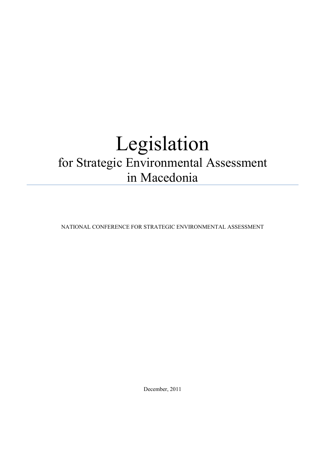# Legislation for Strategic Environmental Assessment in Macedonia

NATIONAL CONFERENCE FOR STRATEGIC ENVIRONMENTAL ASSESSMENT

December, 2011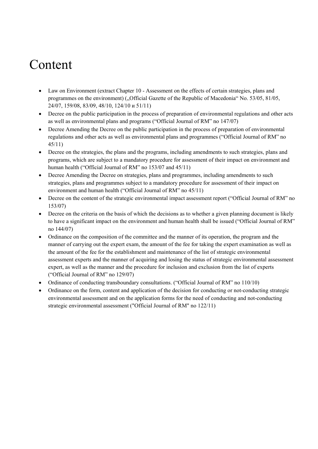## Content

- Law on Environment (extract Chapter 10 Assessment on the effects of certain strategies, plans and programmes on the environment) ("Official Gazette of the Republic of Macedonia" No. 53/05, 81/05, 24/07, 159/08, 83/09, 48/10, 124/10 и 51/11)
- Decree on the public participation in the process of preparation of environmental regulations and other acts as well as environmental plans and programs ("Official Journal of RM" no 147/07)
- Decree Amending the Decree on the public participation in the process of preparation of environmental regulations and other acts as well as environmental plans and programmes ("Official Journal of RM" no 45/11)
- Decree on the strategies, the plans and the programs, including amendments to such strategies, plans and programs, which are subject to a mandatory procedure for assessment of their impact on environment and human health ("Official Journal of RM" no 153/07 and 45/11)
- Decree Amending the Decree on strategies, plans and programmes, including amendments to such strategies, plans and programmes subject to a mandatory procedure for assessment of their impact on environment and human health ("Official Journal of RM" no 45/11)
- Decree on the content of the strategic environmental impact assessment report ("Official Journal of RM" no 153/07)
- Decree on the criteria on the basis of which the decisions as to whether a given planning document is likely to have a significant impact on the environment and human health shall be issued ("Official Journal of RM" no 144/07)
- Ordinance on the composition of the committee and the manner of its operation, the program and the manner of carrying out the expert exam, the amount of the fee for taking the expert examination as well as the amount of the fee for the establishment and maintenance of the list of strategic environmental assessment experts and the manner of acquiring and losing the status of strategic environmental assessment expert, as well as the manner and the procedure for inclusion and exclusion from the list of experts ("Official Journal of RM" no 129/07)
- Ordinance of conducting transboundary consultations. ("Official Journal of RM" no 110/10)
- Ordinance on the form, content and application of the decision for conducting or not-conducting strategic environmental assessment and on the application forms for the need of conducting and not-conducting strategic environmental assessment ("Official Journal of RM" no 122/11)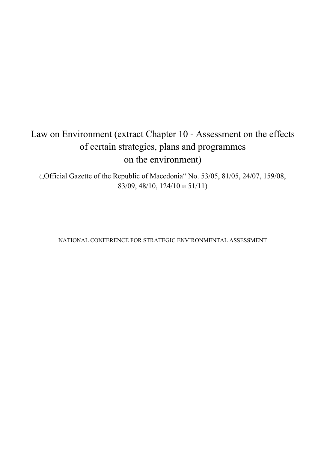### Law on Environment (extract Chapter 10 - Assessment on the effects of certain strategies, plans and programmes on the environment)

("Official Gazette of the Republic of Macedonia" No. 53/05, 81/05, 24/07, 159/08, 83/09, 48/10, 124/10 и 51/11)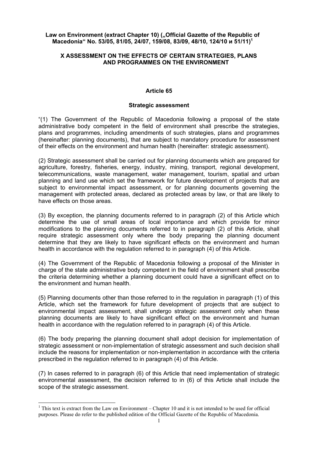### Law on Environment (extract Chapter 10) ("Official Gazette of the Republic of **Macedonia" No. 53/05, 81/05, 24/07, 159/08, 83/09, 48/10, 124/10 и 51/11)<sup>1</sup>**

### **X ASSESSMENT ON THE EFFECTS OF CERTAIN STRATEGIES, PLANS AND PROGRAMMES ON THE ENVIRONMENT**

### **Article 65**

### **Strategic assessment**

"(1) The Government of the Republic of Macedonia following a proposal of the state administrative body competent in the field of environment shall prescribe the strategies, plans and programmes, including amendments of such strategies, plans and programmes (hereinafter: planning documents), that are subject to mandatory procedure for assessment of their effects on the environment and human health (hereinafter: strategic assessment).

(2) Strategic assessment shall be carried out for planning documents which are prepared for agriculture, forestry, fisheries, energy, industry, mining, transport, regional development, telecommunications, waste management, water management, tourism, spatial and urban planning and land use which set the framework for future development of projects that are subject to environmental impact assessment, or for planning documents governing the management with protected areas, declared as protected areas by law, or that are likely to have effects on those areas.

(3) By exception, the planning documents referred to in paragraph (2) of this Article which determine the use of small areas of local importance and which provide for minor modifications to the planning documents referred to in paragraph (2) of this Article, shall require strategic assessment only where the body preparing the planning document determine that they are likely to have significant effects on the environment and human health in accordance with the regulation referred to in paragraph (4) of this Article.

(4) The Government of the Republic of Macedonia following a proposal of the Minister in charge of the state administrative body competent in the field of environment shall prescribe the criteria determining whether a planning document could have a significant effect on to the environment and human health.

(5) Planning documents other than those referred to in the regulation in paragraph (1) of this Article, which set the framework for future development of projects that are subject to environmental impact assessment, shall undergo strategic assessment only when these planning documents are likely to have significant effect on the environment and human health in accordance with the regulation referred to in paragraph (4) of this Article.

(6) The body preparing the planning document shall adopt decision for implementation of strategic assessment or non-implementation of strategic assessment and such decision shall include the reasons for implementation or non-implementation in accordance with the criteria prescribed in the regulation referred to in paragraph (4) of this Article.

(7) In cases referred to in paragraph (6) of this Article that need implementation of strategic environmental assessment, the decision referred to in (6) of this Article shall include the scope of the strategic assessment.

-

<sup>&</sup>lt;sup>1</sup> This text is extract from the Law on Environment – Chapter 10 and it is not intended to be used for official purposes. Please do refer to the published edition of the Official Gazette of the Republic of Macedonia.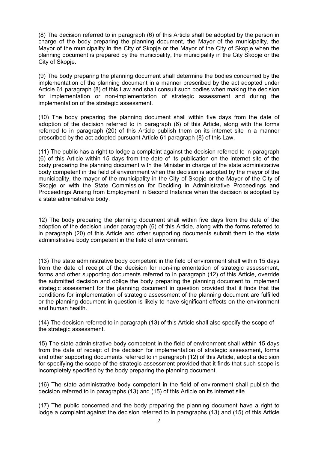(8) The decision referred to in paragraph (6) of this Article shall be adopted by the person in charge of the body preparing the planning document, the Mayor of the municipality, the Mayor of the municipality in the City of Skopje or the Mayor of the City of Skopje when the planning document is prepared by the municipality, the municipality in the City Skopje or the City of Skopje.

(9) The body preparing the planning document shall determine the bodies concerned by the implementation of the planning document in a manner prescribed by the act adopted under Article 61 paragraph (8) of this Law and shall consult such bodies when making the decision for implementation or non-implementation of strategic assessment and during the implementation of the strategic assessment.

(10) The body preparing the planning document shall within five days from the date of adoption of the decision referred to in paragraph (6) of this Article, along with the forms referred to in paragraph (20) of this Article publish them on its internet site in a manner prescribed by the act adopted pursuant Article 61 paragraph (8) of this Law.

(11) The public has a right to lodge a complaint against the decision referred to in paragraph (6) of this Article within 15 days from the date of its publication on the internet site of the body preparing the planning document with the Minister in charge of the state administrative body competent in the field of environment when the decision is adopted by the mayor of the municipality, the mayor of the municipality in the City of Skopje or the Mayor of the City of Skopie or with the State Commission for Deciding in Administrative Proceedings and Proceedings Arising from Employment in Second Instance when the decision is adopted by a state administrative body.

12) The body preparing the planning document shall within five days from the date of the adoption of the decision under paragraph (6) of this Article, along with the forms referred to in paragraph (20) of this Article and other supporting documents submit them to the state administrative body competent in the field of environment.

(13) The state administrative body competent in the field of environment shall within 15 days from the date of receipt of the decision for non-implementation of strategic assessment, forms and other supporting documents referred to in paragraph (12) of this Article, override the submitted decision and oblige the body preparing the planning document to implement strategic assessment for the planning document in question provided that it finds that the conditions for implementation of strategic assessment of the planning document are fulfilled or the planning document in question is likely to have significant effects on the environment and human health.

(14) The decision referred to in paragraph (13) of this Article shall also specify the scope of the strategic assessment.

15) The state administrative body competent in the field of environment shall within 15 days from the date of receipt of the decision for implementation of strategic assessment, forms and other supporting documents referred to in paragraph (12) of this Article, adopt a decision for specifying the scope of the strategic assessment provided that it finds that such scope is incompletely specified by the body preparing the planning document.

(16) The state administrative body competent in the field of environment shall publish the decision referred to in paragraphs (13) and (15) of this Article on its internet site.

(17) The public concerned and the body preparing the planning document have a right to lodge a complaint against the decision referred to in paragraphs (13) and (15) of this Article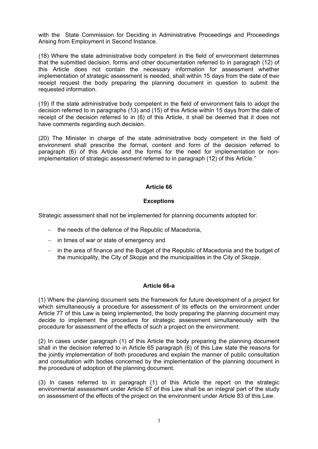with the State Commission for Deciding in Administrative Proceedings and Proceedings Arising from Employment in Second Instance.

(18) Where the state administrative body competent in the field of environment determines that the submitted decision, forms and other documentation referred to in paragraph (12) of this Article does not contain the necessary information for assessment whether implementation of strategic assessment is needed, shall within 15 days from the date of their receipt request the body preparing the planning document in question to submit the requested information.

(19) If the state administrative body competent in the field of environment fails to adopt the decision referred to in paragraphs (13) and (15) of this Article within 15 days from the date of receipt of the decision referred to in (6) of this Article, it shall be deemed that it does not have comments regarding such decision.

(20) The Minister in charge of the state administrative body competent in the field of environment shall prescribe the format, content and form of the decision referred to paragraph (6) of this Article and the forms for the need for implementation or nonimplementation of strategic assessment referred to in paragraph (12) of this Article."

### **Article 66**

### **Exceptions**

Strategic assessment shall not be implemented for planning documents adopted for:

- − the needs of the defence of the Republic of Macedonia,
- − in times of war or state of emergency and
- − in the area of finance and the Budget of the Republic of Macedonia and the budget of the municipality, the City of Skopje and the municipalities in the City of Skopje.

### **Article 66-a**

(1) Where the planning document sets the framework for future development of a project for which simultaneously a procedure for assessment of its effects on the environment under Article 77 of this Law is being implemented, the body preparing the planning document may decide to implement the procedure for strategic assessment simultaneously with the procedure for assessment of the effects of such a project on the environment.

(2) In cases under paragraph (1) of this Article the body preparing the planning document shall in the decision referred to in Article 65 paragraph (6) of this Law state the reasons for the jointly implementation of both procedures and explain the manner of public consultation and consultation with bodies concerned by the implementation of the planning document in the procedure of adoption of the planning document.

(3) In cases referred to in paragraph (1) of this Article the report on the strategic environmental assessment under Article 67 of this Law shall be an integral part of the study on assessment of the effects of the project on the environment under Article 83 of this Law.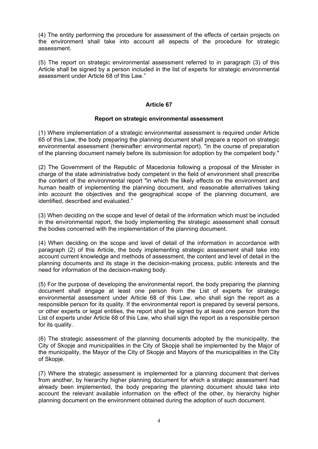(4) The entity performing the procedure for assessment of the effects of certain projects on the environment shall take into account all aspects of the procedure for strategic assessment.

(5) The report on strategic environmental assessment referred to in paragraph (3) of this Article shall be signed by a person included in the list of experts for strategic environmental assessment under Article 68 of this Law."

### **Article 67**

### **Report on strategic environmental assessment**

(1) Where implementation of a strategic environmental assessment is required under Article 65 of this Law, the body preparing the planning document shall prepare a report on strategic environmental assessment (hereinafter: environmental report). "in the course of preparation of the planning document namely before its submission for adoption by the competent body."

(2) The Government of the Republic of Macedonia following a proposal of the Minister in charge of the state administrative body competent in the field of environment shall prescribe the content of the environmental report "in which the likely effects on the environment and human health of implementing the planning document, and reasonable alternatives taking into account the objectives and the geographical scope of the planning document, are identified, described and evaluated."

(3) When deciding on the scope and level of detail of the information which must be included in the environmental report, the body implementing the strategic assessment shall consult the bodies concerned with the implementation of the planning document.

(4) When deciding on the scope and level of detail of the information in accordance with paragraph (2) of this Article, the body implementing strategic assessment shall take into account current knowledge and methods of assessment, the content and level of detail in the planning documents and its stage in the decision-making process, public interests and the need for information of the decision-making body.

(5) For the purpose of developing the environmental report, the body preparing the planning document shall engage at least one person from the List of experts for strategic environmental assessment under Article 68 of this Law, who shall sign the report as a responsible person for its quality. If the environmental report is prepared by several persons, or other experts or legal entities, the report shall be signed by at least one person from the List of experts under Article 68 of this Law, who shall sign the report as a responsible person for its quality.

(6) The strategic assessment of the planning documents adopted by the municipality, the City of Skopje and municipalities in the City of Skopje shall be implemented by the Major of the municipality, the Mayor of the City of Skopje and Mayors of the municipalities in the City of Skopje.

(7) Where the strategic assessment is implemented for a planning document that derives from another, by hierarchy higher planning document for which a strategic assessment had already been implemented, the body preparing the planning document should take into account the relevant available information on the effect of the other, by hierarchy higher planning document on the environment obtained during the adoption of such document.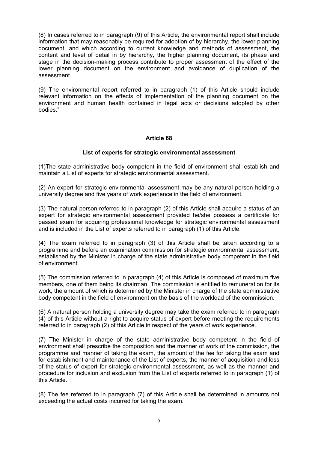(8) In cases referred to in paragraph (9) of this Article, the environmental report shall include information that may reasonably be required for adoption of by hierarchy, the lower planning document, and which according to current knowledge and methods of assessment, the content and level of detail in by hierarchy, the higher planning document, its phase and stage in the decision-making process contribute to proper assessment of the effect of the lower planning document on the environment and avoidance of duplication of the assessment.

(9) The environmental report referred to in paragraph (1) of this Article should include relevant information on the effects of implementation of the planning document on the environment and human health contained in legal acts or decisions adopted by other bodies."

### **Article 68**

### **List of experts for strategic environmental assessment**

(1)The state administrative body competent in the field of environment shall establish and maintain a List of experts for strategic environmental assessment.

(2) An expert for strategic environmental assessment may be any natural person holding a university degree and five years of work experience in the field of environment.

(3) The natural person referred to in paragraph (2) of this Article shall acquire a status of an expert for strategic environmental assessment provided he/she possess a certificate for passed exam for acquiring professional knowledge for strategic environmental assessment and is included in the List of experts referred to in paragraph (1) of this Article.

(4) The exam referred to in paragraph (3) of this Article shall be taken according to a programme and before an examination commission for strategic environmental assessment, established by the Minister in charge of the state administrative body competent in the field of environment.

(5) The commission referred to in paragraph (4) of this Article is composed of maximum five members, one of them being its chairman. The commission is entitled to remuneration for its work, the amount of which is determined by the Minister in charge of the state administrative body competent in the field of environment on the basis of the workload of the commission.

(6) A natural person holding a university degree may take the exam referred to in paragraph (4) of this Article without a right to acquire status of expert before meeting the requirements referred to in paragraph (2) of this Article in respect of the years of work experience.

(7) The Minister in charge of the state administrative body competent in the field of environment shall prescribe the composition and the manner of work of the commission, the programme and manner of taking the exam, the amount of the fee for taking the exam and for establishment and maintenance of the List of experts, the manner of acquisition and loss of the status of expert for strategic environmental assessment, as well as the manner and procedure for inclusion and exclusion from the List of experts referred to in paragraph (1) of this Article.

(8) The fee referred to in paragraph (7) of this Article shall be determined in amounts not exceeding the actual costs incurred for taking the exam.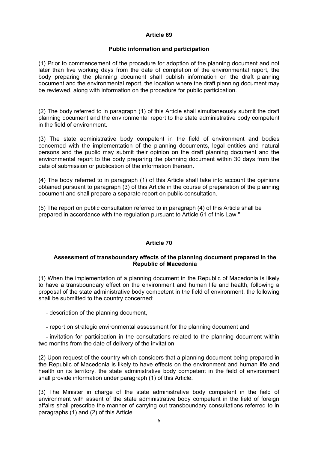### **Public information and participation**

(1) Prior to commencement of the procedure for adoption of the planning document and not later than five working days from the date of completion of the environmental report, the body preparing the planning document shall publish information on the draft planning document and the environmental report, the location where the draft planning document may be reviewed, along with information on the procedure for public participation.

(2) The body referred to in paragraph (1) of this Article shall simultaneously submit the draft planning document and the environmental report to the state administrative body competent in the field of environment.

(3) The state administrative body competent in the field of environment and bodies concerned with the implementation of the planning documents, legal entities and natural persons and the public may submit their opinion on the draft planning document and the environmental report to the body preparing the planning document within 30 days from the date of submission or publication of the information thereon.

(4) The body referred to in paragraph (1) of this Article shall take into account the opinions obtained pursuant to paragraph (3) of this Article in the course of preparation of the planning document and shall prepare a separate report on public consultation.

(5) The report on public consultation referred to in paragraph (4) of this Article shall be prepared in accordance with the regulation pursuant to Article 61 of this Law."

### **Article 70**

### **Assessment of transboundary effects of the planning document prepared in the Republic of Macedonia**

(1) When the implementation of a planning document in the Republic of Macedonia is likely to have a transboundary effect on the environment and human life and health, following a proposal of the state administrative body competent in the field of environment, the following shall be submitted to the country concerned:

- description of the planning document,

- report on strategic environmental assessment for the planning document and

- invitation for participation in the consultations related to the planning document within two months from the date of delivery of the invitation.

(2) Upon request of the country which considers that a planning document being prepared in the Republic of Macedonia is likely to have effects on the environment and human life and health on its territory, the state administrative body competent in the field of environment shall provide information under paragraph (1) of this Article.

(3) The Minister in charge of the state administrative body competent in the field of environment with assent of the state administrative body competent in the field of foreign affairs shall prescribe the manner of carrying out transboundary consultations referred to in paragraphs (1) and (2) of this Article.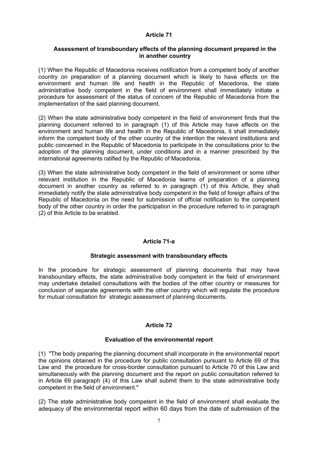### **Assessment of transboundary effects of the planning document prepared in the in another country**

(1) When the Republic of Macedonia receives notification from a competent body of another country on preparation of a planning document which is likely to have effects on the environment and human life and health in the Republic of Macedonia, the state administrative body competent in the field of environment shall immediately initiate a procedure for assessment of the status of concern of the Republic of Macedonia from the implementation of the said planning document.

(2) When the state administrative body competent in the field of environment finds that the planning document referred to in paragraph (1) of this Article may have effects on the environment and human life and health in the Republic of Macedonia, it shall immediately inform the competent body of the other country of the intention the relevant institutions and public concerned in the Republic of Macedonia to participate in the consultations prior to the adoption of the planning document, under conditions and in a manner prescribed by the international agreements ratified by the Republic of Macedonia.

(3) When the state administrative body competent in the field of environment or some other relevant institution in the Republic of Macedonia learns of preparation of a planning document in another country as referred to in paragraph (1) of this Article, they shall immediately notify the state administrative body competent in the field of foreign affairs of the Republic of Macedonia on the need for submission of official notification to the competent body of the other country in order the participation in the procedure referred to in paragraph (2) of this Article to be enabled.

### **Article 71-a**

### **Strategic assessment with transboundary effects**

In the procedure for strategic assessment of planning documents that may have transboundary effects, the state administrative body competent in the field of environment may undertake detailed consultations with the bodies of the other country or measures for conclusion of separate agreements with the other country which will regulate the procedure for mutual consultation for strategic assessment of planning documents.

### **Article 72**

### **Evaluation of the environmental report**

(1) "The body preparing the planning document shall incorporate in the environmental report the opinions obtained in the procedure for public consultation pursuant to Article 69 of this Law and the procedure for cross-border consultation pursuant to Article 70 of this Law and simultaneously with the planning document and the report on public consultation referred to in Article 69 paragraph (4) of this Law shall submit them to the state administrative body competent in the field of environment."

(2) The state administrative body competent in the field of environment shall evaluate the adequacy of the environmental report within 60 days from the date of submission of the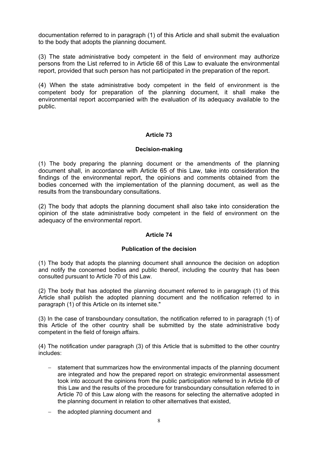documentation referred to in paragraph (1) of this Article and shall submit the evaluation to the body that adopts the planning document.

(3) The state administrative body competent in the field of environment may authorize persons from the List referred to in Article 68 of this Law to evaluate the environmental report, provided that such person has not participated in the preparation of the report.

(4) When the state administrative body competent in the field of environment is the competent body for preparation of the planning document, it shall make the environmental report accompanied with the evaluation of its adequacy available to the public.

### **Article 73**

### **Decision-making**

(1) The body preparing the planning document or the amendments of the planning document shall, in accordance with Article 65 of this Law, take into consideration the findings of the environmental report, the opinions and comments obtained from the bodies concerned with the implementation of the planning document, as well as the results from the transboundary consultations.

(2) The body that adopts the planning document shall also take into consideration the opinion of the state administrative body competent in the field of environment on the adequacy of the environmental report.

### **Article 74**

### **Publication of the decision**

(1) The body that adopts the planning document shall announce the decision on adoption and notify the concerned bodies and public thereof, including the country that has been consulted pursuant to Article 70 of this Law.

(2) The body that has adopted the planning document referred to in paragraph (1) of this Article shall publish the adopted planning document and the notification referred to in paragraph (1) of this Article on its internet site."

(3) In the case of transboundary consultation, the notification referred to in paragraph (1) of this Article of the other country shall be submitted by the state administrative body competent in the field of foreign affairs.

(4) The notification under paragraph (3) of this Article that is submitted to the other country includes:

- − statement that summarizes how the environmental impacts of the planning document are integrated and how the prepared report on strategic environmental assessment took into account the opinions from the public participation referred to in Article 69 of this Law and the results of the procedure for transboundary consultation referred to in Article 70 of this Law along with the reasons for selecting the alternative adopted in the planning document in relation to other alternatives that existed,
- − the adopted planning document and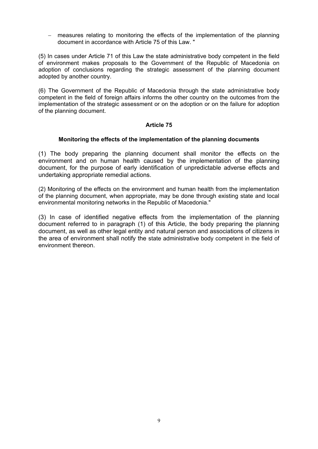measures relating to monitoring the effects of the implementation of the planning document in accordance with Article 75 of this Law. "

(5) In cases under Article 71 of this Law the state administrative body competent in the field of environment makes proposals to the Government of the Republic of Macedonia on adoption of conclusions regarding the strategic assessment of the planning document adopted by another country.

(6) The Government of the Republic of Macedonia through the state administrative body competent in the field of foreign affairs informs the other country on the outcomes from the implementation of the strategic assessment or on the adoption or on the failure for adoption of the planning document.

### **Article 75**

### **Monitoring the effects of the implementation of the planning documents**

(1) The body preparing the planning document shall monitor the effects on the environment and on human health caused by the implementation of the planning document, for the purpose of early identification of unpredictable adverse effects and undertaking appropriate remedial actions.

(2) Monitoring of the effects on the environment and human health from the implementation of the planning document, when appropriate, may be done through existing state and local environmental monitoring networks in the Republic of Macedonia."

(3) In case of identified negative effects from the implementation of the planning document referred to in paragraph (1) of this Article, the body preparing the planning document, as well as other legal entity and natural person and associations of citizens in the area of environment shall notify the state administrative body competent in the field of environment thereon.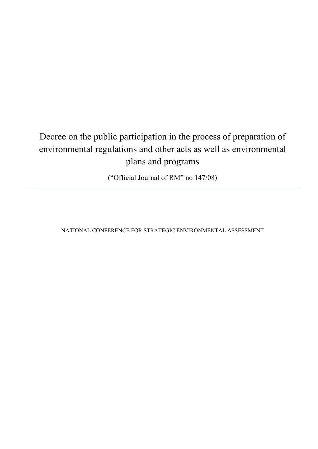### Decree on the public participation in the process of preparation of environmental regulations and other acts as well as environmental plans and programs

("Official Journal of RM" no 147/08)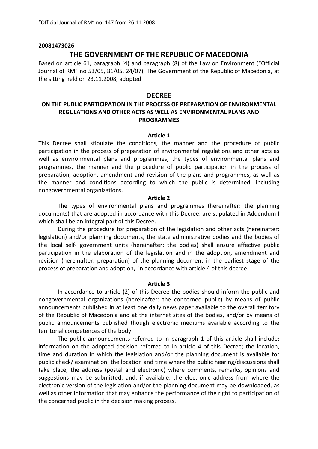### **20081473026**

### **THE GOVERNMENT OF THE REPUBLIC OF MACEDONIA**

Based on article 61, paragraph (4) and paragraph (8) of the Law on Environment ("Official Journal of RM" no 53/05, 81/05, 24/07), The Government of the Republic of Macedonia, at the sitting held on 23.11.2008, adopted

### **DECREE**

### **ON THE PUBLIC PARTICIPATION IN THE PROCESS OF PREPARATION OF ENVIRONMENTAL REGULATIONS AND OTHER ACTS AS WELL AS ENVIRONMENTAL PLANS AND PROGRAMMES**

### **Article 1**

This Decree shall stipulate the conditions, the manner and the procedure of public participation in the process of preparation of environmental regulations and other acts as well as environmental plans and programmes, the types of environmental plans and programmes, the manner and the procedure of public participation in the process of preparation, adoption, amendment and revision of the plans and programmes, as well as the manner and conditions according to which the public is determined, including nongovernmental organizations.

### **Article 2**

The types of environmental plans and programmes (hereinafter: the planning documents) that are adopted in accordance with this Decree, are stipulated in Addendum I which shall be an integral part of this Decree.

During the procedure for preparation of the legislation and other acts (hereinafter: legislation) and/or planning documents, the state administrative bodies and the bodies of the local self‐ government units (hereinafter: the bodies) shall ensure effective public participation in the elaboration of the legislation and in the adoption, amendment and revision (hereinafter: preparation) of the planning document in the earliest stage of the process of preparation and adoption,. in accordance with article 4 of this decree.

### **Article 3**

In accordance to article (2) of this Decree the bodies should inform the public and nongovernmental organizations (hereinafter: the concerned public) by means of public announcements published in at least one daily news paper available to the overall territory of the Republic of Macedonia and at the internet sites of the bodies, and/or by means of public announcements published though electronic mediums available according to the territorial competences of the body.

 The public announcements referred to in paragraph 1 of this article shall include: information on the adopted decision referred to in article 4 of this Decree; the location, time and duration in which the legislation and/or the planning document is available for public check/ examination; the location and time where the public hearing/discussions shall take place; the address (postal and electronic) where comments, remarks, opinions and suggestions may be submitted; and, if available, the electronic address from where the electronic version of the legislation and/or the planning document may be downloaded, as well as other information that may enhance the performance of the right to participation of the concerned public in the decision making process.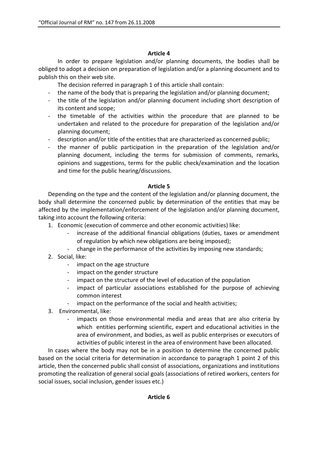In order to prepare legislation and/or planning documents, the bodies shall be obliged to adopt a decision on preparation of legislation and/or a planning document and to publish this on their web site.

The decision referred in paragraph 1 of this article shall contain:

- the name of the body that is preparing the legislation and/or planning document;
- ‐ the title of the legislation and/or planning document including short description of its content and scope;
- ‐ the timetable of the activities within the procedure that are planned to be undertaken and related to the procedure for preparation of the legislation and/or planning document;
- description and/or title of the entities that are characterized as concerned public;
- ‐ the manner of public participation in the preparation of the legislation and/or planning document, including the terms for submission of comments, remarks, opinions and suggestions, terms for the public check/examination and the location and time for the public hearing/discussions.

### **Article 5**

Depending on the type and the content of the legislation and/or planning document, the body shall determine the concerned public by determination of the entities that may be affected by the implementation/enforcement of the legislation and/or planning document, taking into account the following criteria:

- 1. Economic (execution of commerce and other economic activities) like:
	- ‐ increase of the additional financial obligations (duties, taxes or amendment of regulation by which new obligations are being imposed);
	- ‐ change in the performance of the activities by imposing new standards;
- 2. Social, like:
	- ‐ impact on the age structure
	- ‐ impact on the gender structure
	- impact on the structure of the level of education of the population
	- impact of particular associations established for the purpose of achieving common interest
	- impact on the performance of the social and health activities;
- 3. Environmental, like:
	- impacts on those environmental media and areas that are also criteria by which entities performing scientific, expert and educational activities in the area of environment, and bodies, as well as public enterprises or executors of activities of public interest in the area of environment have been allocated.

In cases where the body may not be in a position to determine the concerned public based on the social criteria for determination in accordance to paragraph 1 point 2 of this article, then the concerned public shall consist of associations, organizations and institutions promoting the realization of general social goals (associations of retired workers, centers for social issues, social inclusion, gender issues etc.)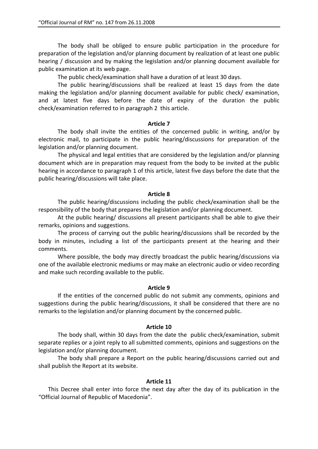The body shall be obliged to ensure public participation in the procedure for preparation of the legislation and/or planning document by realization of at least one public hearing / discussion and by making the legislation and/or planning document available for public examination at its web page.

The public check/examination shall have a duration of at least 30 days.

The public hearing/discussions shall be realized at least 15 days from the date making the legislation and/or planning document available for public check/ examination, and at latest five days before the date of expiry of the duration the public check/examination referred to in paragraph 2 this article.

### **Article 7**

The body shall invite the entities of the concerned public in writing, and/or by electronic mail, to participate in the public hearing/discussions for preparation of the legislation and/or planning document.

The physical and legal entities that are considered by the legislation and/or planning document which are in preparation may request from the body to be invited at the public hearing in accordance to paragraph 1 of this article, latest five days before the date that the public hearing/discussions will take place.

### **Article 8**

The public hearing/discussions including the public check/examination shall be the responsibility of the body that prepares the legislation and/or planning document.

At the public hearing/ discussions all present participants shall be able to give their remarks, opinions and suggestions.

The process of carrying out the public hearing/discussions shall be recorded by the body in minutes, including a list of the participants present at the hearing and their comments.

Where possible, the body may directly broadcast the public hearing/discussions via one of the available electronic mediums or may make an electronic audio or video recording and make such recording available to the public.

### **Article 9**

If the entities of the concerned public do not submit any comments, opinions and suggestions during the public hearing/discussions, it shall be considered that there are no remarks to the legislation and/or planning document by the concerned public.

#### **Article 10**

The body shall, within 30 days from the date the public check/examination, submit separate replies or a joint reply to all submitted comments, opinions and suggestions on the legislation and/or planning document.

The body shall prepare a Report on the public hearing/discussions carried out and shall publish the Report at its website.

### **Article 11**

This Decree shall enter into force the next day after the day of its publication in the "Official Journal of Republic of Macedonia".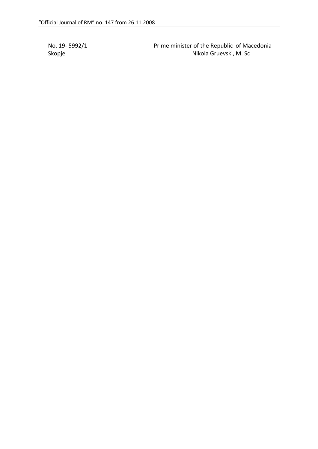No. 19‐ 5992/1 Prime minister of the Republic of Macedonia Skopje Nikola Gruevski, M. Sc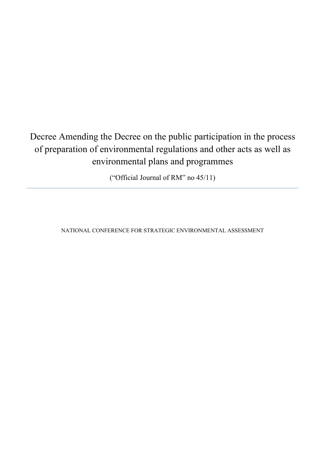### Decree Amending the Decree on the public participation in the process of preparation of environmental regulations and other acts as well as environmental plans and programmes

("Official Journal of RM" no 45/11)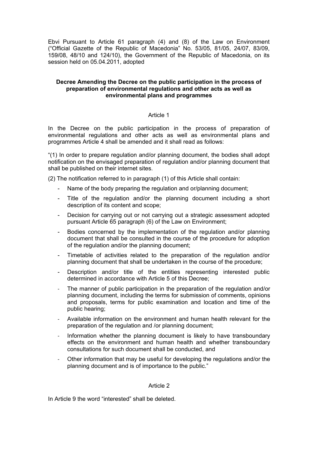Ebvi Pursuant to Article 61 paragraph (4) and (8) of the Law on Environment ("Official Gazette of the Republic of Macedonia" No. 53/05, 81/05, 24/07, 83/09, 159/08, 48/10 and 124/10), the Government of the Republic of Macedonia, on its session held on 05.04.2011, adopted

### **Decree Amending the Decree on the public participation in the process of preparation of environmental regulations and other acts as well as environmental plans and programmes**

### Article 1

In the Decree on the public participation in the process of preparation of environmental regulations and other acts as well as environmental plans and programmes Article 4 shall be amended and it shall read as follows:

"(1) In order to prepare regulation and/or planning document, the bodies shall adopt notification on the envisaged preparation of regulation and/or planning document that shall be published on their internet sites.

(2) The notification referred to in paragraph (1) of this Article shall contain:

- Name of the body preparing the regulation and or/planning document;
- Title of the regulation and/or the planning document including a short description of its content and scope;
- Decision for carrying out or not carrying out a strategic assessment adopted pursuant Article 65 paragraph (6) of the Law on Environment;
- Bodies concerned by the implementation of the regulation and/or planning document that shall be consulted in the course of the procedure for adoption of the regulation and/or the planning document;
- Timetable of activities related to the preparation of the regulation and/or planning document that shall be undertaken in the course of the procedure;
- Description and/or title of the entities representing interested public determined in accordance with Article 5 of this Decree;
- The manner of public participation in the preparation of the regulation and/or planning document, including the terms for submission of comments, opinions and proposals, terms for public examination and location and time of the public hearing;
- ‐ Available information on the environment and human health relevant for the preparation of the regulation and /or planning document;
- Information whether the planning document is likely to have transboundary effects on the environment and human health and whether transboundary consultations for such document shall be conducted, and
- ‐ Other information that may be useful for developing the regulations and/or the planning document and is of importance to the public."

### Article 2

In Article 9 the word "interested" shall be deleted.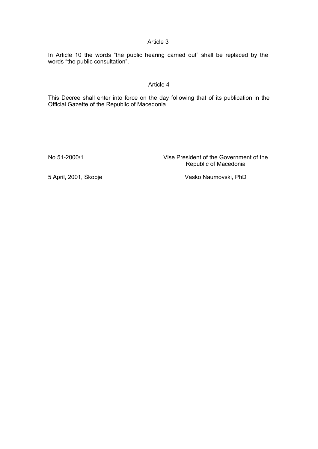In Article 10 the words "the public hearing carried out" shall be replaced by the words "the public consultation".

### Article 4

This Decree shall enter into force on the day following that of its publication in the Official Gazette of the Republic of Macedonia.

No.51-2000/1 Vise President of the Government of the Republic of Macedonia

5 April, 2001, Skopje Vasko Naumovski, PhD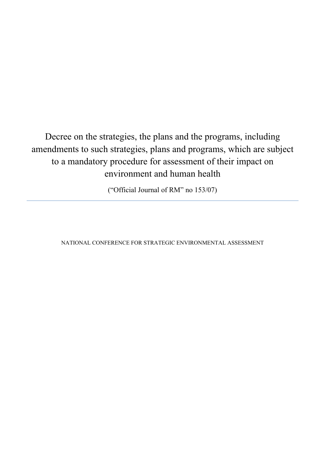Decree on the strategies, the plans and the programs, including amendments to such strategies, plans and programs, which are subject to a mandatory procedure for assessment of their impact on environment and human health

("Official Journal of RM" no 153/07)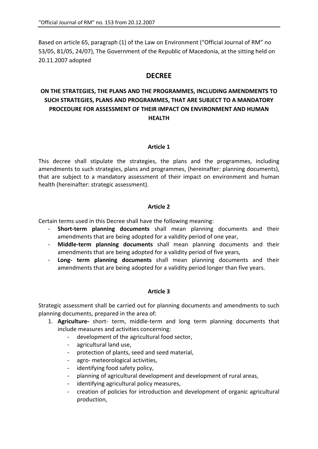Based on article 65, paragraph (1) of the Law on Environment ("Official Journal of RM" no 53/05, 81/05, 24/07), The Government of the Republic of Macedonia, at the sitting held on 20.11.2007 adopted

### **DECREE**

### **ON THE STRATEGIES, THE PLANS AND THE PROGRAMMES, INCLUDING AMENDMENTS TO SUCH STRATEGIES, PLANS AND PROGRAMMES, THAT ARE SUBJECT TO A MANDATORY PROCEDURE FOR ASSESSMENT OF THEIR IMPACT ON ENVIRONMENT AND HUMAN HEALTH**

### **Article 1**

This decree shall stipulate the strategies, the plans and the programmes, including amendments to such strategies, plans and programmes, (hereinafter: planning documents), that are subject to a mandatory assessment of their impact on environment and human health (hereinafter: strategic assessment).

### **Article 2**

Certain terms used in this Decree shall have the following meaning:

- **Short‐term planning documents** shall mean planning documents and their amendments that are being adopted for a validity period of one year,
- **Middle‐term planning documents** shall mean planning documents and their amendments that are being adopted for a validity period of five years,
- **Long‐ term planning documents** shall mean planning documents and their amendments that are being adopted for a validity period longer than five years.

### **Article 3**

Strategic assessment shall be carried out for planning documents and amendments to such planning documents, prepared in the area of:

- 1. **Agriculture‐**  short‐ term, middle‐term and long term planning documents that include measures and activities concerning:
	- development of the agricultural food sector,
	- agricultural land use,
	- protection of plants, seed and seed material,
	- agro- meteorological activities,
	- identifying food safety policy,
	- planning of agricultural development and development of rural areas,
	- identifying agricultural policy measures,
	- creation of policies for introduction and development of organic agricultural production,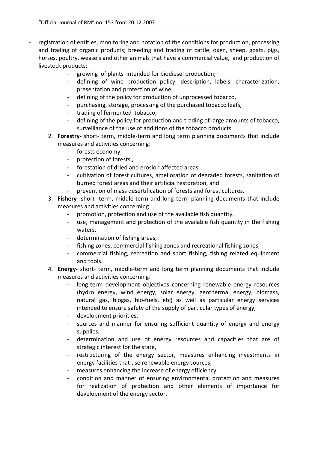- registration of entities, monitoring and notation of the conditions for production, processing and trading of organic products; breeding and trading of cattle, oxen, sheep, goats, pigs, horses, poultry, weasels and other animals that have a commercial value, and production of livestock products;
	- growing of plants intended for biodiesel production;
	- defining of wine production policy, description, labels, characterization, presentation and protection of wine;
	- defining of the policy for production of unprocessed tobacco,
	- purchasing, storage, processing of the purchased tobacco leafs,
	- trading of fermented tobacco,
	- defining of the policy for production and trading of large amounts of tobacco, surveillance of the use of additions of the tobacco products.
	- 2. **Forestry‐** short‐ term, middle‐term and long term planning documents that include measures and activities concerning:
		- forests economy,
		- protection of forests ,
		- forestation of dried and erosion affected areas,
		- cultivation of forest cultures, amelioration of degraded forests, sanitation of burned forest areas and their artificial restoration, and
		- prevention of mass desertification of forests and forest cultures.
	- 3. **Fishery‐** short‐ term, middle‐term and long term planning documents that include measures and activities concerning:
		- promotion, protection and use of the available fish quantity,
		- use, management and protection of the available fish quantity in the fishing waters,
		- determination of fishing areas,
		- fishing zones, commercial fishing zones and recreational fishing zones,
		- commercial fishing, recreation and sport fishing, fishing related equipment and tools.
	- 4. **Energy‐** short‐ term, middle‐term and long term planning documents that include measures and activities concerning:
		- long-term development objectives concerning renewable energy resources (hydro energy, wind energy, solar energy, geothermal energy, biomass, natural gas, biogas, bio-fuels, etc) as well as particular energy services intended to ensure safety of the supply of particular types of energy,
		- development priorities,
		- sources and manner for ensuring sufficient quantity of energy and energy supplies,
		- determination and use of energy resources and capacities that are of strategic interest for the state,
		- restructuring of the energy sector, measures enhancing investments in energy facilities that use renewable energy sources,
		- measures enhancing the increase of energy efficiency,
		- condition and manner of ensuring environmental protection and measures for realization of protection and other elements of importance for development of the energy sector.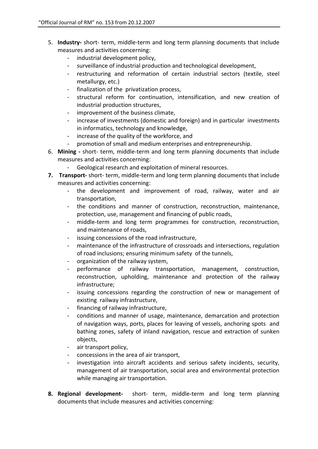- 5. **Industry‐** short‐ term, middle‐term and long term planning documents that include measures and activities concerning:
	- industrial development policy,
	- surveillance of industrial production and technological development,
	- restructuring and reformation of certain industrial sectors (textile, steel metallurgy, etc.)
	- finalization of the privatization process,
	- structural reform for continuation, intensification, and new creation of industrial production structures,
	- improvement of the business climate,
	- increase of investments (domestic and foreign) and in particular investments in informatics, technology and knowledge,
	- increase of the quality of the workforce, and
	- promotion of small and medium enterprises and entrepreneurship.
- 6. **Mining ‐** short‐ term, middle‐term and long term planning documents that include measures and activities concerning:
	- Geological research and exploitation of mineral resources.
- **7. Transport‐** short‐ term, middle‐term and long term planning documents that include measures and activities concerning:
	- the development and improvement of road, railway, water and air transportation,
	- the conditions and manner of construction, reconstruction, maintenance, protection, use, management and financing of public roads,
	- middle-term and long term programmes for construction, reconstruction, and maintenance of roads,
	- issuing concessions of the road infrastructure,
	- maintenance of the infrastructure of crossroads and intersections, regulation of road inclusions; ensuring minimum safety of the tunnels,
	- organization of the railway system,
	- performance of railway transportation, management, construction, reconstruction, upholding, maintenance and protection of the railway infrastructure;
	- issuing concessions regarding the construction of new or management of existing railway infrastructure,
	- financing of railway infrastructure,
	- conditions and manner of usage, maintenance, demarcation and protection of navigation ways, ports, places for leaving of vessels, anchoring spots and bathing zones, safety of inland navigation, rescue and extraction of sunken objects,
	- air transport policy,
	- concessions in the area of air transport,
	- investigation into aircraft accidents and serious safety incidents, security, management of air transportation, social area and environmental protection while managing air transportation.
- **8. Regional development‐**  short‐ term, middle‐term and long term planning documents that include measures and activities concerning: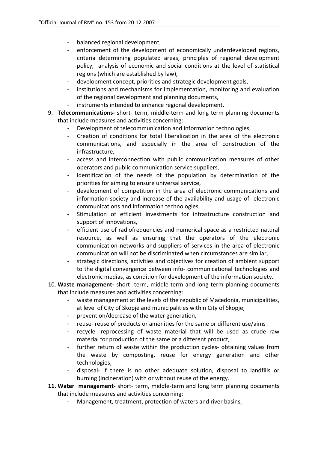- balanced regional development,
- enforcement of the development of economically underdeveloped regions, criteria determining populated areas, principles of regional development policy, analysis of economic and social conditions at the level of statistical regions (which are established by law),
- development concept, priorities and strategic development goals,
- institutions and mechanisms for implementation, monitoring and evaluation of the regional development and planning documents,
- instruments intended to enhance regional development.
- 9. **Telecommunications** short- term, middle-term and long term planning documents that include measures and activities concerning:
	- Development of telecommunication and information technologies,
	- Creation of conditions for total liberalization in the area of the electronic communications, and especially in the area of construction of the infrastructure,
	- access and interconnection with public communication measures of other operators and public communication service suppliers,
	- identification of the needs of the population by determination of the priorities for aiming to ensure universal service,
	- development of competition in the area of electronic communications and information society and increase of the availability and usage of electronic communications and information technologies,
	- Stimulation of efficient investments for infrastructure construction and support of innovations,
	- efficient use of radiofrequencies and numerical space as a restricted natural resource, as well as ensuring that the operators of the electronic communication networks and suppliers of services in the area of electronic communication will not be discriminated when circumstances are similar,
	- strategic directions, activities and objectives for creation of ambient support to the digital convergence between info‐ communicational technologies and electronic medias, as condition for development of the information society.
- 10. **Waste management‐** short‐ term, middle‐term and long term planning documents that include measures and activities concerning:
	- waste management at the levels of the republic of Macedonia, municipalities, at level of City of Skopje and municipalities within City of Skopje,
	- prevention/decrease of the water generation,
	- reuse- reuse of products or amenities for the same or different use/aims
	- recycle- reprocessing of waste material that will be used as crude raw material for production of the same or a different product,
	- further return of waste within the production cycles- obtaining values from the waste by composting, reuse for energy generation and other technologies,
	- disposal‐ if there is no other adequate solution, disposal to landfills or burning (incineration) with or without reuse of the energy.
- **11. Water management‐** short‐ term, middle‐term and long term planning documents that include measures and activities concerning:
	- Management, treatment, protection of waters and river basins,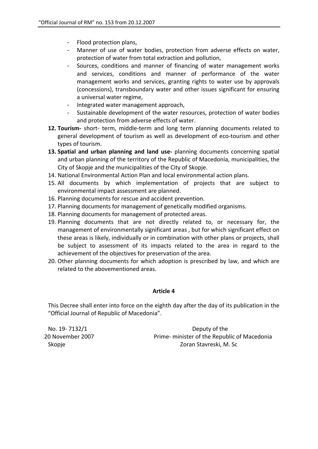- Flood protection plans,
- Manner of use of water bodies, protection from adverse effects on water, protection of water from total extraction and pollution,
- Sources, conditions and manner of financing of water management works and services, conditions and manner of performance of the water management works and services, granting rights to water use by approvals (concessions), transboundary water and other issues significant for ensuring a universal water regime,
- Integrated water management approach,
- Sustainable development of the water resources, protection of water bodies and protection from adverse effects of water.
- **12. Tourism‐** short‐ term, middle‐term and long term planning documents related to general development of tourism as well as development of eco-tourism and other types of tourism.
- **13. Spatial and urban planning and land use‐**  planning documents concerning spatial and urban planning of the territory of the Republic of Macedonia, municipalities, the City of Skopje and the municipalities of the City of Skopje.
- 14. National Environmental Action Plan and local environmental action plans.
- 15. All documents by which implementation of projects that are subject to environmental impact assessment are planned.
- 16. Planning documents for rescue and accident prevention.
- 17. Planning documents for management of genetically modified organisms.
- 18. Planning documents for management of protected areas.
- 19. Planning documents that are not directly related to, or necessary for, the management of environmentally significant areas , but for which significant effect on these areas is likely, individually or in combination with other plans or projects, shall be subject to assessment of its impacts related to the area in regard to the achievement of the objectives for preservation of the area.
- 20. Other planning documents for which adoption is prescribed by law, and which are related to the abovementioned areas.

This Decree shall enter into force on the eighth day after the day of its publication in the "Official Journal of Republic of Macedonia".

No. 19‐ 7132/1 Deputy of the 20 November 2007 **1998 Inc.** Prime- minister of the Republic of Macedonia Skopje **Skopje Skopje Skopje Skopje Skopje Skopje** Zoran Stavreski, M. Sc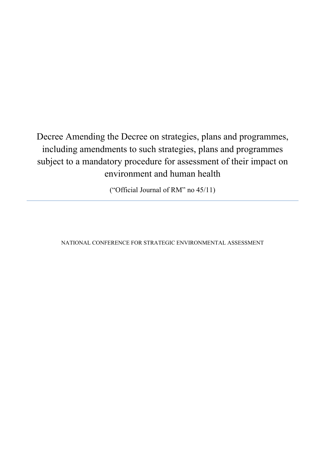Decree Amending the Decree on strategies, plans and programmes, including amendments to such strategies, plans and programmes subject to a mandatory procedure for assessment of their impact on environment and human health

("Official Journal of RM" no 45/11)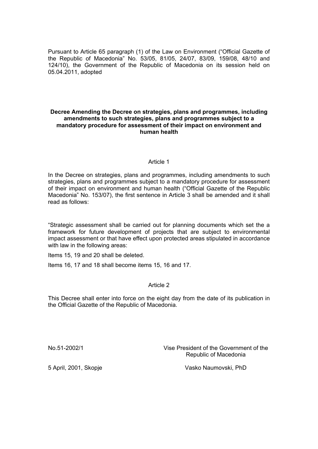Pursuant to Article 65 paragraph (1) of the Law on Environment ("Official Gazette of the Republic of Macedonia" No. 53/05, 81/05, 24/07, 83/09, 159/08, 48/10 and 124/10), the Government of the Republic of Macedonia on its session held on 05.04.2011, adopted

#### **Decree Amending the Decree on strategies, plans and programmes, including amendments to such strategies, plans and programmes subject to a mandatory procedure for assessment of their impact on environment and human health**

## Article 1

In the Decree on strategies, plans and programmes, including amendments to such strategies, plans and programmes subject to a mandatory procedure for assessment of their impact on environment and human health ("Official Gazette of the Republic Macedonia" No. 153/07), the first sentence in Article 3 shall be amended and it shall read as follows:

"Strategic assessment shall be carried out for planning documents which set the a framework for future development of projects that are subject to environmental impact assessment or that have effect upon protected areas stipulated in accordance with law in the following areas:

Items 15, 19 and 20 shall be deleted.

Items 16, 17 and 18 shall become items 15, 16 and 17.

## Article 2

This Decree shall enter into force on the eight day from the date of its publication in the Official Gazette of the Republic of Macedonia.

No.51-2002/1 Vise President of the Government of the Republic of Macedonia

5 April, 2001, Skopje Vasko Naumovski, PhD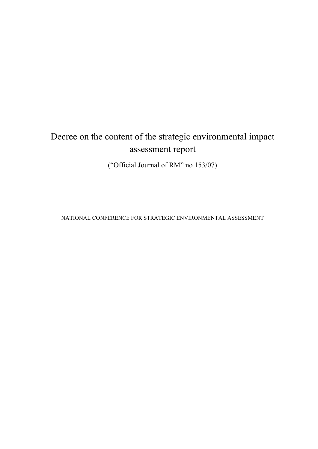# Decree on the content of the strategic environmental impact assessment report

("Official Journal of RM" no 153/07)

NATIONAL CONFERENCE FOR STRATEGIC ENVIRONMENTAL ASSESSMENT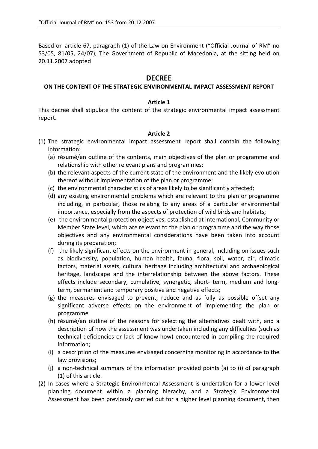Based on article 67, paragraph (1) of the Law on Environment ("Official Journal of RM" no 53/05, 81/05, 24/07), The Government of Republic of Macedonia, at the sitting held on 20.11.2007 adopted

# **DECREE**

## **ON THE CONTENT OF THE STRATEGIC ENVIRONMENTAL IMPACT ASSESSMENT REPORT**

## **Article 1**

This decree shall stipulate the content of the strategic environmental impact assessment report.

## **Article 2**

- (1) The strategic environmental impact assessment report shall contain the following information:
	- (a) résumé/an outline of the contents, main objectives of the plan or programme and relationship with other relevant plans and programmes;
	- (b) the relevant aspects of the current state of the environment and the likely evolution thereof without implementation of the plan or programme;
	- (c) the environmental characteristics of areas likely to be significantly affected;
	- (d) any existing environmental problems which are relevant to the plan or programme including, in particular, those relating to any areas of a particular environmental importance, especially from the aspects of protection of wild birds and habitats;
	- (e) the environmental protection objectives, established at international, Community or Member State level, which are relevant to the plan or programme and the way those objectives and any environmental considerations have been taken into account during its preparation;
	- (f) the likely significant effects on the environment in general, including on issues such as biodiversity, population, human health, fauna, flora, soil, water, air, climatic factors, material assets, cultural heritage including architectural and archaeological heritage, landscape and the interrelationship between the above factors. These effects include secondary, cumulative, synergetic, short- term, medium and longterm, permanent and temporary positive and negative effects;
	- (g) the measures envisaged to prevent, reduce and as fully as possible offset any significant adverse effects on the environment of implementing the plan or programme
	- (h) résumé/an outline of the reasons for selecting the alternatives dealt with, and a description of how the assessment was undertaken including any difficulties (such as technical deficiencies or lack of know‐how) encountered in compiling the required information;
	- (i) a description of the measures envisaged concerning monitoring in accordance to the law provisions;
	- (j) a non‐technical summary of the information provided points (a) to (i) of paragraph (1) of this article.
- (2) In cases where a Strategic Environmental Assessment is undertaken for a lower level planning document within a planning hierachy, and a Strategic Environmental Assessment has been previously carried out for a higher level planning document, then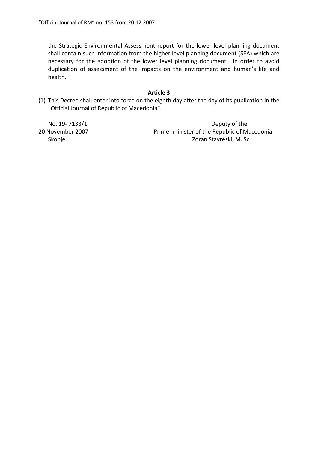the Strategic Environmental Assessment report for the lower level planning document shall contain such information from the higher level planning document (SEA) which are necessary for the adoption of the lower level planning document, in order to avoid duplication of assessment of the impacts on the environment and human's life and health.

## **Article 3**

(1) This Decree shall enter into force on the eighth day after the day of its publication in the "Official Journal of Republic of Macedonia".

No. 19‐ 7133/1 Deputy of the 20 November 2007 Prime‐ minister of the Republic of Macedonia Skopje **Skopje Skopje Skopje Stavreski, M. Sc**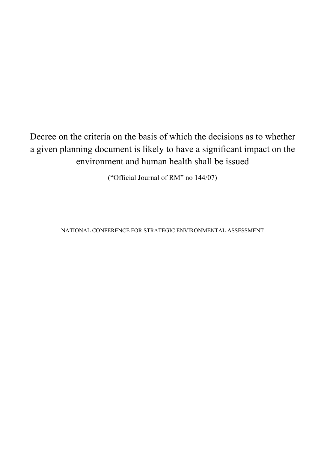# Decree on the criteria on the basis of which the decisions as to whether a given planning document is likely to have a significant impact on the environment and human health shall be issued

("Official Journal of RM" no 144/07)

NATIONAL CONFERENCE FOR STRATEGIC ENVIRONMENTAL ASSESSMENT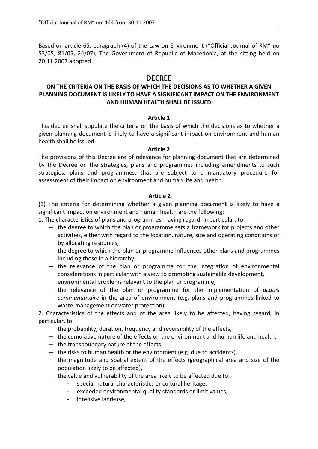Based on article 65, paragraph (4) of the Law on Environment ("Official Journal of RM" no 53/05, 81/05, 24/07), The Government of Republic of Macedonia, at the sitting held on 20.11.2007 adopted

# **DECREE**

# **ON THE CRITERIA ON THE BASIS OF WHICH THE DECISIONS AS TO WHETHER A GIVEN PLANNING DOCUMENT IS LIKELY TO HAVE A SIGNIFICANT IMPACT ON THE ENVIRONMENT AND HUMAN HEALTH SHALL BE ISSUED**

## **Article 1**

This decree shall stipulate the criteria on the basis of which the decisions as to whether a given planning document is likely to have a significant impact on environment and human health shall be issued.

## **Article 2**

The provisions of this Decree are of relevance for planning document that are determined by the Decree on the strategies, plans and programmes including amendments to such strategies, plans and programmes, that are subject to a mandatory procedure for assessment of their impact on environment and human life and health.

## **Article 2**

(1) The criteria for determining whether a given planning document is likely to have a significant impact on environment and human health are the following:

1. The characteristics of plans and programmes, having regard, in particular, to:

- the degree to which the plan or programme sets a framework for projects and other activities, either with regard to the location, nature, size and operating conditions or by allocating resources,
- the degree to which the plan or programme influences other plans and programmes including those in a hierarchy,
- the relevance of the plan or programme for the integration of environmental considerations in particular with a view to promoting sustainable development,
- environmental problems relevant to the plan or programme,
- the relevance of the plan or programme for the implementation of *acquis communautaire* in the area of environment (e.g. plans and programmes linked to waste‐management or water protection).

2. Characteristics of the effects and of the area likely to be affected, having regard, in particular, to

- the probability, duration, frequency and reversibility of the effects,
- the cumulative nature of the effects on the environment and human life and health,
- the transboundary nature of the effects,
- the risks to human health or the environment (e.g. due to accidents),
- the magnitude and spatial extent of the effects (geographical area and size of the population likely to be affected),
- the value and vulnerability of the area likely to be affected due to:
	- special natural characteristics or cultural heritage,
	- exceeded environmental quality standards or limit values,
	- intensive land‐use,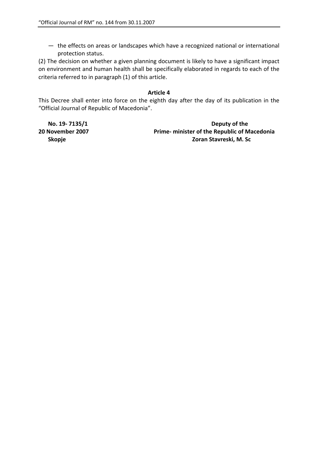— the effects on areas or landscapes which have a recognized national or international protection status.

(2) The decision on whether a given planning document is likely to have a significant impact on environment and human health shall be specifically elaborated in regards to each of the criteria referred to in paragraph (1) of this article.

## **Article 4**

This Decree shall enter into force on the eighth day after the day of its publication in the "Official Journal of Republic of Macedonia".

**No. 19‐ 7135/1 Deputy of the 20 November 2007 Prime‐ minister of the Republic of Macedonia Skopje Zoran Stavreski, M. Sc**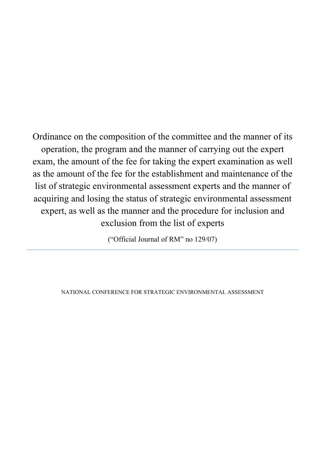Ordinance on the composition of the committee and the manner of its operation, the program and the manner of carrying out the expert exam, the amount of the fee for taking the expert examination as well as the amount of the fee for the establishment and maintenance of the list of strategic environmental assessment experts and the manner of acquiring and losing the status of strategic environmental assessment expert, as well as the manner and the procedure for inclusion and exclusion from the list of experts

("Official Journal of RM" no 129/07)

NATIONAL CONFERENCE FOR STRATEGIC ENVIRONMENTAL ASSESSMENT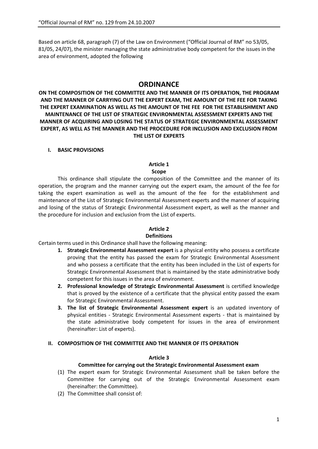Based on article 68, paragraph (7) of the Law on Environment ("Official Journal of RM" no 53/05, 81/05, 24/07), the minister managing the state administrative body competent for the issues in the area of environment, adopted the following

# **ORDINANCE**

**ON THE COMPOSITION OF THE COMMITTEE AND THE MANNER OF ITS OPERATION, THE PROGRAM AND THE MANNER OF CARRYING OUT THE EXPERT EXAM, THE AMOUNT OF THE FEE FOR TAKING THE EXPERT EXAMINATION AS WELL AS THE AMOUNT OF THE FEE FOR THE ESTABLISHMENT AND MAINTENANCE OF THE LIST OF STRATEGIC ENVIRONMENTAL ASSESSMENT EXPERTS AND THE MANNER OF ACQUIRING AND LOSING THE STATUS OF STRATEGIC ENVIRONMENTAL ASSESSMENT EXPERT, AS WELL AS THE MANNER AND THE PROCEDURE FOR INCLUSION AND EXCLUSION FROM THE LIST OF EXPERTS** 

#### **I. BASIC PROVISIONS**

#### **Article 1 Scope**

This ordinance shall stipulate the composition of the Committee and the manner of its operation, the program and the manner carrying out the expert exam, the amount of the fee for taking the expert examination as well as the amount of the fee for the establishment and maintenance of the List of Strategic Environmental Assessment experts and the manner of acquiring and losing of the status of Strategic Environmental Assessment expert, as well as the manner and the procedure for inclusion and exclusion from the List of experts.

## **Article 2**

#### **Definitions**

Certain terms used in this Ordinance shall have the following meaning:

- **1. Strategic Environmental Assessment expert** is a physical entity who possess a certificate proving that the entity has passed the exam for Strategic Environmental Assessment and who possess a certificate that the entity has been included in the List of experts for Strategic Environmental Assessment that is maintained by the state administrative body competent for this issues in the area of environment.
- **2. Professional knowledge of Strategic Environmental Assessment** is certified knowledge that is proved by the existence of a certificate that the physical entity passed the exam for Strategic Environmental Assessment.
- **3. The list of Strategic Environmental Assessment expert** is an updated inventory of physical entities ‐ Strategic Environmental Assessment experts ‐ that is maintained by the state administrative body competent for issues in the area of environment (hereinafter: List of experts).

## **II. COMPOSITION OF THE COMMITTEE AND THE MANNER OF ITS OPERATION**

#### **Article 3**

#### **Committee for carrying out the Strategic Environmental Assessment exam**

- (1) The expert exam for Strategic Environmental Assessment shall be taken before the Committee for carrying out of the Strategic Environmental Assessment exam (hereinafter: the Committee).
- (2) The Committee shall consist of: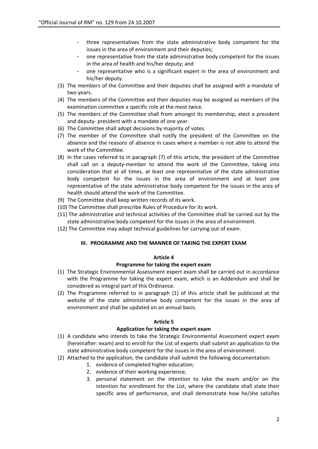- three representatives from the state administrative body competent for the issues in the area of environment and their deputies;
- one representative from the state administrative body competent for the issues in the area of health and his/her deputy; and
- one representative who is a significant expert in the area of environment and his/her deputy.
- (3) The members of the Committee and their deputies shall be assigned with a mandate of two years.
- (4) The members of the Committee and their deputies may be assigned as members of the examination committee a specific role at the most twice.
- (5) The members of the Committee shall from amongst its membership, elect a president and deputy‐ president with a mandate of one year.
- (6) The Committee shall adopt decisions by majority of votes.
- (7) The member of the Committee shall notify the president of the Committee on the absence and the reasons of absence in cases where a member is not able to attend the work of the Committee.
- (8) In the cases referred to in paragraph (7) of this article, the president of the Committee shall call on a deputy-member to attend the work of the Committee, taking into consideration that at all times, at least one representative of the state administrative body competent for the issues in the area of environment and at least one representative of the state administrative body competent for the issues in the area of health should attend the work of the Committee.
- (9) The Committee shall keep written records of its work.
- (10) The Committee shall prescribe Rules of Procedure for its work.
- (11) The administrative and technical activities of the Committee shall be carried out by the state administrative body competent for the issues in the area of environment.
- (12) The Committee may adopt technical guidelines for carrying out of exam.

#### **III. PROGRAMME AND THE MANNER OF TAKING THE EXPERT EXAM**

#### **Article 4**

#### **Programme for taking the expert exam**

- (1) The Strategic Environmental Assessment expert exam shall be carried out in accordance with the Programme for taking the expert exam, which is an Addendum and shall be considered as integral part of this Ordinance.
- (2) The Programme referred to in paragraph (1) of this article shall be publicized at the website of the state administrative body competent for the issues in the area of environment and shall be updated on an annual basis.

#### **Article 5**

#### **Application for taking the expert exam**

- (1) A candidate who intends to take the Strategic Environmental Assessment expert exam (hereinafter: exam) and to enroll for the List of experts shall submit an application to the state administrative body competent for the issues in the area of environment.
- (2) Attached to the application, the candidate shall submit the following documentation:
	- 1. evidence of completed higher education;
	- 2. evidence of their working experience;
	- 3. personal statement on the intention to take the exam and/or on the intention for enrollment for the List, where the candidate shall state their specific area of performance, and shall demonstrate how he/she satisfies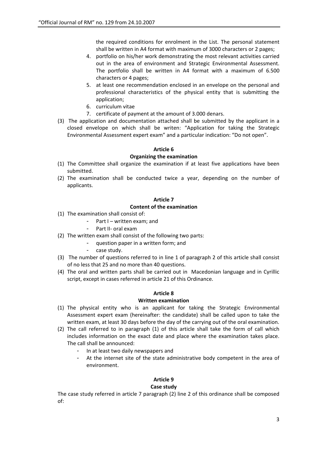the required conditions for enrolment in the List. The personal statement shall be written in A4 format with maximum of 3000 characters or 2 pages;

- 4. portfolio on his/her work demonstrating the most relevant activities carried out in the area of environment and Strategic Environmental Assessment. The portfolio shall be written in A4 format with a maximum of 6.500 characters or 4 pages;
- 5. at least one recommendation enclosed in an envelope on the personal and professional characteristics of the physical entity that is submitting the application;
- 6. curriculum vitae
- 7. certificate of payment at the amount of 3.000 denars.
- (3) The application and documentation attached shall be submitted by the applicant in a closed envelope on which shall be writen: "Application for taking the Strategic Environmental Assessment expert exam" and a particular indication: "Do not open".

#### **Article 6**

## **Organizing the examination**

- (1) The Committee shall organize the examination if at least five applications have been submitted.
- (2) The examination shall be conducted twice a year, depending on the number of applicants.

## **Article 7**

## **Content of the examination**

- (1) The examination shall consist of:
	- Part I written exam; and
	- Part II- oral exam
- (2) The written exam shall consist of the following two parts:
	- question paper in a written form; and
	- case study.
- (3) The number of questions referred to in line 1 of paragraph 2 of this article shall consist of no less that 25 and no more than 40 questions.
- (4) The oral and written parts shall be carried out in Macedonian language and in Cyrillic script, except in cases referred in article 21 of this Ordinance.

## **Article 8**

## **Written examination**

- (1) The physical entity who is an applicant for taking the Strategic Environmental Assessment expert exam (hereinafter: the candidate) shall be called upon to take the written exam, at least 30 days before the day of the carrying out of the oral examination.
- (2) The call referred to in paragraph (1) of this article shall take the form of call which includes information on the exact date and place where the examination takes place. The call shall be announced:
	- In at least two daily newspapers and
	- At the internet site of the state administrative body competent in the area of environment.

# **Article 9**

## **Case study**

The case study referred in article 7 paragraph (2) line 2 of this ordinance shall be composed of: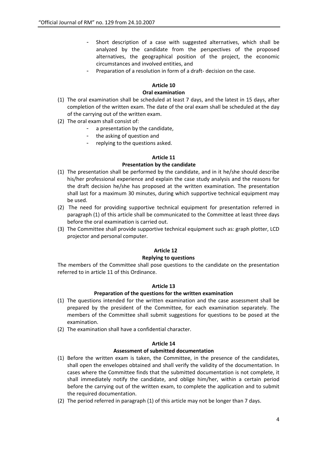- Short description of a case with suggested alternatives, which shall be analyzed by the candidate from the perspectives of the proposed alternatives, the geographical position of the project, the economic circumstances and involved entities, and
- Preparation of a resolution in form of a draft- decision on the case.

## **Article 10**

#### **Oral examination**

- (1) The oral examination shall be scheduled at least 7 days, and the latest in 15 days, after completion of the written exam. The date of the oral exam shall be scheduled at the day of the carrying out of the written exam.
- (2) The oral exam shall consist of:
	- a presentation by the candidate,
	- the asking of question and
	- replying to the questions asked.

## **Article 11**

## **Presentation by the candidate**

- (1) The presentation shall be performed by the candidate, and in it he/she should describe his/her professional experience and explain the case study analysis and the reasons for the draft decision he/she has proposed at the written examination. The presentation shall last for a maximum 30 minutes, during which supportive technical equipment may be used.
- (2) The need for providing supportive technical equipment for presentation referred in paragraph (1) of this article shall be communicated to the Committee at least three days before the oral examination is carried out.
- (3) The Committee shall provide supportive technical equipment such as: graph plotter, LCD projector and personal computer.

## **Article 12**

#### **Replying to questions**

The members of the Committee shall pose questions to the candidate on the presentation referred to in article 11 of this Ordinance.

#### **Article 13**

## **Preparation of the questions for the written examination**

- (1) The questions intended for the written examination and the case assessment shall be prepared by the president of the Committee, for each examination separately. The members of the Committee shall submit suggestions for questions to be posed at the examination.
- (2) The examination shall have a confidential character.

#### **Article 14**

#### **Assessment of submitted documentation**

- (1) Before the written exam is taken, the Committee, in the presence of the candidates, shall open the envelopes obtained and shall verify the validity of the documentation. In cases where the Committee finds that the submitted documentation is not complete, it shall immediately notify the candidate, and oblige him/her, within a certain period before the carrying out of the written exam, to complete the application and to submit the required documentation.
- (2) The period referred in paragraph (1) of this article may not be longer than 7 days.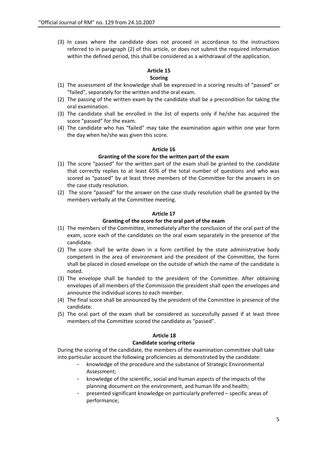(3) In cases where the candidate does not proceed in accordance to the instructions referred to in paragraph (2) of this article, or does not submit the required information within the defined period, this shall be considered as a withdrawal of the application.

## **Article 15**

#### **Scoring**

- (1) The assessment of the knowledge shall be expressed in a scoring results of "passed" or "failed", separately for the written and the oral exam.
- (2) The passing of the written exam by the candidate shall be a precondition for taking the oral examination.
- (3) The candidate shall be enrolled in the list of experts only if he/she has acquired the score "passed" for the exam.
- (4) The candidate who has "failed" may take the examination again within one year form the day when he/she was given this score.

#### **Article 16**

#### **Granting of the score for the written part of the exam**

- (1) The score "passed" for the written part of the exam shall be granted to the candidate that correctly replies to at least 65% of the total number of questions and who was scored as "passed" by at least three members of the Committee for the answers in on the case study resolution.
- (2) The score "passed" for the answer on the case study resolution shall be granted by the members verbally at the Committee meeting.

#### **Article 17**

## **Granting of the score for the oral part of the exam**

- (1) The members of the Committee, immediately after the conclusion of the oral part of the exam, score each of the candidates on the oral exam separately in the presence of the candidate.
- (2) The score shall be write down in a form certified by the state administrative body competent in the area of environment and the president of the Committee, the form shall be placed in closed envelope on the outside of which the name of the candidate is noted.
- (3) The envelope shall be handed to the president of the Committee. After obtaining envelopes of all members of the Commission the president shall open the envelopes and announce the individual scores to each member.
- (4) The final score shall be announced by the president of the Committee in presence of the candidate.
- (5) The oral part of the exam shall be considered as successfully passed if at least three members of the Committee scored the candidate as "passed".

#### **Article 18**

#### **Candidate scoring criteria**

During the scoring of the candidate, the members of the examination committee shall take into particular account the following proficiencies as demonstrated by the candidate:

- knowledge of the procedure and the substance of Strategic Environmental Assessment;
- knowledge of the scientific, social and human aspects of the impacts of the planning document on the environment, and human life and health;
- presented significant knowledge on particularly preferred specific areas of performance;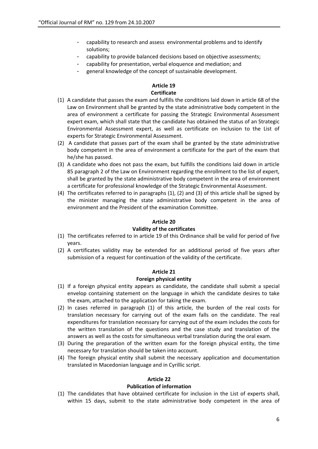- capability to research and assess environmental problems and to identify solutions;
- capability to provide balanced decisions based on objective assessments;
- capability for presentation, verbal eloquence and mediation; and
- general knowledge of the concept of sustainable development.

## **Article 19 Certificate**

- (1) A candidate that passes the exam and fulfills the conditions laid down in article 68 of the Law on Environment shall be granted by the state administrative body competent in the area of environment a certificate for passing the Strategic Environmental Assessment expert exam, which shall state that the candidate has obtained the status of an Strategic Environmental Assessment expert, as well as certificate on inclusion to the List of experts for Strategic Environmental Assessment.
- (2) A candidate that passes part of the exam shall be granted by the state administrative body competent in the area of environment a certificate for the part of the exam that he/she has passed.
- (3) A candidate who does not pass the exam, but fulfills the conditions laid down in article 85 paragraph 2 of the Law on Environment regarding the enrollment to the list of expert, shall be granted by the state administrative body competent in the area of environment a certificate for professional knowledge of the Strategic Environmental Assessment.
- (4) The certificates referred to in paragraphs (1), (2) and (3) of this article shall be signed by the minister managing the state administrative body competent in the area of environment and the President of the examination Committee.

#### **Article 20**

#### **Validity of the certificates**

- (1) The certificates referred to in article 19 of this Ordinance shall be valid for period of five years.
- (2) A certificates validity may be extended for an additional period of five years after submission of a request for continuation of the validity of the certificate.

#### **Article 21**

#### **Foreign physical entity**

- (1) If a foreign physical entity appears as candidate, the candidate shall submit a special envelop containing statement on the language in which the candidate desires to take the exam, attached to the application for taking the exam.
- (2) In cases referred in paragraph (1) of this article, the burden of the real costs for translation necessary for carrying out of the exam falls on the candidate. The real expenditures for translation necessary for carrying out of the exam includes the costs for the written translation of the questions and the case study and translation of the answers as well as the costs for simultaneous verbal translation during the oral exam.
- (3) During the preparation of the written exam for the foreign physical entity, the time necessary for translation should be taken into account.
- (4) The foreign physical entity shall submit the necessary application and documentation translated in Macedonian language and in Cyrillic script.

## **Article 22**

#### **Publication of information**

(1) The candidates that have obtained certificate for inclusion in the List of experts shall, within 15 days, submit to the state administrative body competent in the area of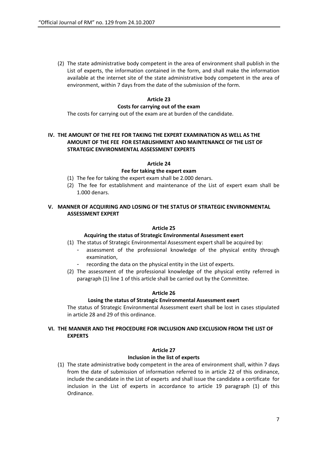(2) The state administrative body competent in the area of environment shall publish in the List of experts, the information contained in the form, and shall make the information available at the internet site of the state administrative body competent in the area of environment, within 7 days from the date of the submission of the form.

## **Article 23**

#### **Costs for carrying out of the exam**

The costs for carrying out of the exam are at burden of the candidate.

## **IV. THE AMOUNT OF THE FEE FOR TAKING THE EXPERT EXAMINATION AS WELL AS THE AMOUNT OF THE FEE FOR ESTABLISHMENT AND MAINTENANCE OF THE LIST OF STRATEGIC ENVIRONMENTAL ASSESSMENT EXPERTS**

#### **Article 24**

#### **Fee for taking the expert exam**

- (1) The fee for taking the expert exam shall be 2.000 denars.
- (2) The fee for establishment and maintenance of the List of expert exam shall be 1.000 denars.

#### **V. MANNER OF ACQUIRING AND LOSING OF THE STATUS OF STRATEGIC ENVIRONMENTAL ASSESSMENT EXPERT**

#### **Article 25**

#### **Acquiring the status of Strategic Environmental Assessment exert**

- (1) The status of Strategic Environmental Assessment expert shall be acquired by:
	- assessment of the professional knowledge of the physical entity through examination,
		- recording the data on the physical entity in the List of experts.
- (2) The assessment of the professional knowledge of the physical entity referred in paragraph (1) line 1 of this article shall be carried out by the Committee.

#### **Article 26**

#### **Losing the status of Strategic Environmental Assessment exert**

The status of Strategic Environmental Assessment exert shall be lost in cases stipulated in article 28 and 29 of this ordinance.

#### **VI. THE MANNER AND THE PROCEDURE FOR INCLUSION AND EXCLUSION FROM THE LIST OF EXPERTS**

#### **Article 27**

#### **Inclusion in the list of experts**

(1) The state administrative body competent in the area of environment shall, within 7 days from the date of submission of information referred to in article 22 of this ordinance, include the candidate in the List of experts and shall issue the candidate a certificate for inclusion in the List of experts in accordance to article 19 paragraph (1) of this Ordinance.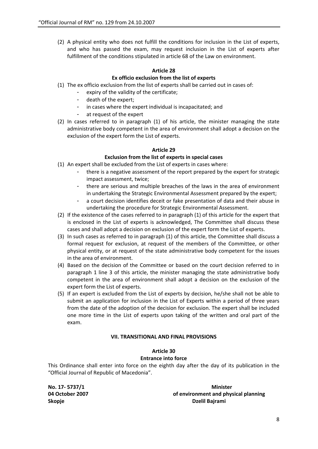(2) A physical entity who does not fulfill the conditions for inclusion in the List of experts, and who has passed the exam, may request inclusion in the List of experts after fulfillment of the conditions stipulated in article 68 of the Law on environment.

## **Article 28**

## **Ex officio exclusion from the list of experts**

- (1) The ex officio exclusion from the list of experts shall be carried out in cases of:
	- expiry of the validity of the certificate;
	- death of the expert;
	- in cases where the expert individual is incapacitated; and
	- at request of the expert
- (2) In cases referred to in paragraph (1) of his article, the minister managing the state administrative body competent in the area of environment shall adopt a decision on the exclusion of the expert form the List of experts.

## **Article 29**

## **Exclusion from the list of experts in special cases**

- (1) An expert shall be excluded from the List of experts in cases where:
	- there is a negative assessment of the report prepared by the expert for strategic impact assessment, twice;
	- there are serious and multiple breaches of the laws in the area of environment in undertaking the Strategic Environmental Assessment prepared by the expert;
	- a court decision identifies deceit or fake presentation of data and their abuse in undertaking the procedure for Strategic Environmental Assessment.
- (2) If the existence of the cases referred to in paragraph (1) of this article for the expert that is enclosed in the List of experts is acknowledged, The Committee shall discuss these cases and shall adopt a decision on exclusion of the expert form the List of experts.
- (3) In such cases as referred to in paragraph (1) of this article, the Committee shall discuss a formal request for exclusion, at request of the members of the Committee, or other physical entity, or at request of the state administrative body competent for the issues in the area of environment.
- (4) Based on the decision of the Committee or based on the court decision referred to in paragraph 1 line 3 of this article, the minister managing the state administrative body competent in the area of environment shall adopt a decision on the exclusion of the expert form the List of experts.
- (5) If an expert is excluded from the List of experts by decision, he/she shall not be able to submit an application for inclusion in the List of Experts within a period of three years from the date of the adoption of the decision for exclusion. The expert shall be included one more time in the List of experts upon taking of the written and oral part of the exam.

#### **VII. TRANSITIONAL AND FINAL PROVISIONS**

#### **Article 30 Entrance into force**

This Ordinance shall enter into force on the eighth day after the day of its publication in the "Official Journal of Republic of Macedonia".

**No. 17‐ 5737/1 Minister 04 October 2007 of environment and physical planning Skopje Dzelil Bajrami**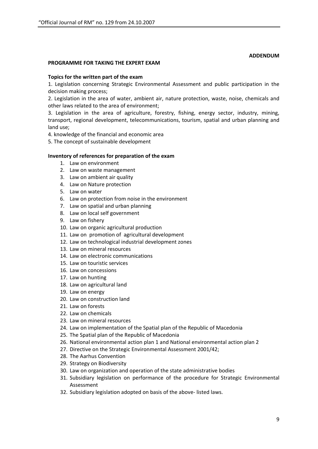#### **ADDENDUM**

#### **PROGRAMME FOR TAKING THE EXPERT EXAM**

#### **Topics for the written part of the exam**

1. Legislation concerning Strategic Environmental Assessment and public participation in the decision making process;

2. Legislation in the area of water, ambient air, nature protection, waste, noise, chemicals and other laws related to the area of environment;

3. Legislation in the area of agriculture, forestry, fishing, energy sector, industry, mining, transport, regional development, telecommunications, tourism, spatial and urban planning and land use;

4. knowledge of the financial and economic area

5. The concept of sustainable development

#### **Inventory of references for preparation of the exam**

- 1. Law on environment
- 2. Law on waste management
- 3. Law on ambient air quality
- 4. Law on Nature protection
- 5. Law on water
- 6. Law on protection from noise in the environment
- 7. Law on spatial and urban planning
- 8. Law on local self government
- 9. Law on fishery
- 10. Law on organic agricultural production
- 11. Law on promotion of agricultural development
- 12. Law on technological industrial development zones
- 13. Law on mineral resources
- 14. Law on electronic communications
- 15. Law on touristic services
- 16. Law on concessions
- 17. Law on hunting
- 18. Law on agricultural land
- 19. Law on energy
- 20. Law on construction land
- 21. Law on forests
- 22. Law on chemicals
- 23. Law on mineral resources
- 24. Law on implementation of the Spatial plan of the Republic of Macedonia
- 25. The Spatial plan of the Republic of Macedonia
- 26. National environmental action plan 1 and National environmental action plan 2
- 27. Directive on the Strategic Environmental Assessment 2001/42;
- 28. The Aarhus Convention
- 29. Strategy on Biodiversity
- 30. Law on organization and operation of the state administrative bodies
- 31. Subsidiary legislation on performance of the procedure for Strategic Environmental Assessment
- 32. Subsidiary legislation adopted on basis of the above‐ listed laws.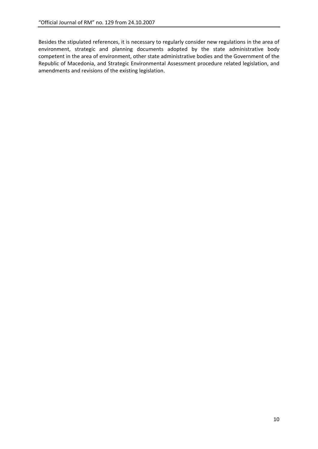Besides the stipulated references, it is necessary to regularly consider new regulations in the area of environment, strategic and planning documents adopted by the state administrative body competent in the area of environment, other state administrative bodies and the Government of the Republic of Macedonia, and Strategic Environmental Assessment procedure related legislation, and amendments and revisions of the existing legislation.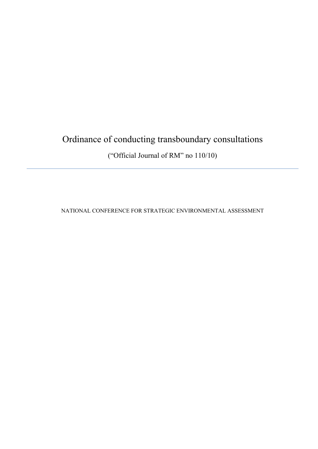# Ordinance of conducting transboundary consultations

("Official Journal of RM" no 110/10)

NATIONAL CONFERENCE FOR STRATEGIC ENVIRONMENTAL ASSESSMENT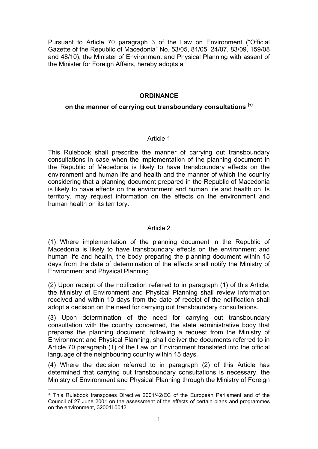Pursuant to Article 70 paragraph 3 of the Law on Environment ("Official Gazette of the Republic of Macedonia" No. 53/05, 81/05, 24/07, 83/09, 159/08 and 48/10), the Minister of Environment and Physical Planning with assent of the Minister for Foreign Affairs, hereby adopts a

# **ORDINANCE**

# **on the manner of carrying out transboundary consultations (**<sup>∗</sup>**)**

# Article 1

This Rulebook shall prescribe the manner of carrying out transboundary consultations in case when the implementation of the planning document in the Republic of Macedonia is likely to have transboundary effects on the environment and human life and health and the manner of which the country considering that a planning document prepared in the Republic of Macedonia is likely to have effects on the environment and human life and health on its territory, may request information on the effects on the environment and human health on its territory.

# Article 2

(1) Where implementation of the planning document in the Republic of Macedonia is likely to have transboundary effects on the environment and human life and health, the body preparing the planning document within 15 days from the date of determination of the effects shall notify the Ministry of Environment and Physical Planning.

(2) Upon receipt of the notification referred to in paragraph (1) of this Article, the Ministry of Environment and Physical Planning shall review information received and within 10 days from the date of receipt of the notification shall adopt a decision on the need for carrying out transboundary consultations.

(3) Upon determination of the need for carrying out transboundary consultation with the country concerned, the state administrative body that prepares the planning document, following a request from the Ministry of Environment and Physical Planning, shall deliver the documents referred to in Article 70 paragraph (1) of the Law on Environment translated into the official language of the neighbouring country within 15 days.

(4) Where the decision referred to in paragraph (2) of this Article has determined that carrying out transboundary consultations is necessary, the Ministry of Environment and Physical Planning through the Ministry of Foreign

<sup>1</sup> \* This Rulebook transposes Directive 2001/42/EC of the European Parliament and of the Council of 27 June 2001 on the assessment of the effects of certain plans and programmes on the environment, 32001L0042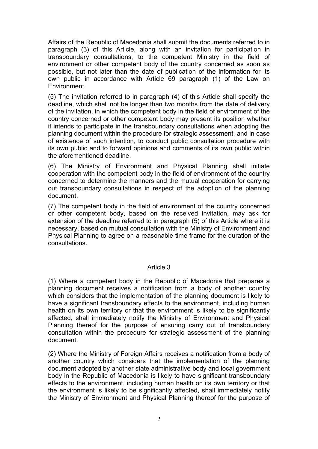Affairs of the Republic of Macedonia shall submit the documents referred to in paragraph (3) of this Article, along with an invitation for participation in transboundary consultations, to the competent Ministry in the field of environment or other competent body of the country concerned as soon as possible, but not later than the date of publication of the information for its own public in accordance with Article 69 paragraph (1) of the Law on Environment.

(5) The invitation referred to in paragraph (4) of this Article shall specify the deadline, which shall not be longer than two months from the date of delivery of the invitation, in which the competent body in the field of environment of the country concerned or other competent body may present its position whether it intends to participate in the transboundary consultations when adopting the planning document within the procedure for strategic assessment, and in case of existence of such intention, to conduct public consultation procedure with its own public and to forward opinions and comments of its own public within the aforementioned deadline.

(6) The Ministry of Environment and Physical Planning shall initiate cooperation with the competent body in the field of environment of the country concerned to determine the manners and the mutual cooperation for carrying out transboundary consultations in respect of the adoption of the planning document.

(7) The competent body in the field of environment of the country concerned or other competent body, based on the received invitation, may ask for extension of the deadline referred to in paragraph (5) of this Article where it is necessary, based on mutual consultation with the Ministry of Environment and Physical Planning to agree on a reasonable time frame for the duration of the consultations.

## Article 3

(1) Where a competent body in the Republic of Macedonia that prepares a planning document receives a notification from a body of another country which considers that the implementation of the planning document is likely to have a significant transboundary effects to the environment, including human health on its own territory or that the environment is likely to be significantly affected, shall immediately notify the Ministry of Environment and Physical Planning thereof for the purpose of ensuring carry out of transboundary consultation within the procedure for strategic assessment of the planning document.

(2) Where the Ministry of Foreign Affairs receives a notification from a body of another country which considers that the implementation of the planning document adopted by another state administrative body and local government body in the Republic of Macedonia is likely to have significant transboundary effects to the environment, including human health on its own territory or that the environment is likely to be significantly affected, shall immediately notify the Ministry of Environment and Physical Planning thereof for the purpose of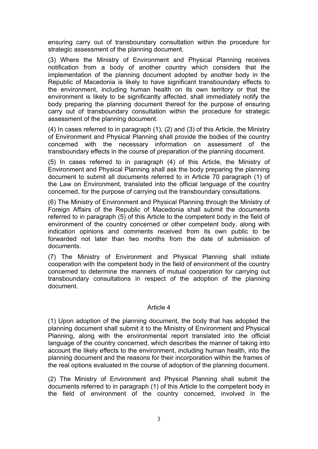ensuring carry out of transboundary consultation within the procedure for strategic assessment of the planning document.

(3) Where the Ministry of Environment and Physical Planning receives notification from a body of another country which considers that the implementation of the planning document adopted by another body in the Republic of Macedonia is likely to have significant transboundary effects to the environment, including human health on its own territory or that the environment is likely to be significantly affected, shall immediately notify the body preparing the planning document thereof for the purpose of ensuring carry out of transboundary consultation within the procedure for strategic assessment of the planning document.

(4) In cases referred to in paragraph (1), (2) and (3) of this Article, the Ministry of Environment and Physical Planning shall provide the bodies of the country concerned with the necessary information on assessment of the transboundary effects in the course of preparation of the planning document.

(5) In cases referred to in paragraph (4) of this Article, the Ministry of Environment and Physical Planning shall ask the body preparing the planning document to submit all documents referred to in Article 70 paragraph (1) of the Law on Environment, translated into the official language of the country concerned, for the purpose of carrying out the transboundary consultations.

(6) The Ministry of Environment and Physical Planning through the Ministry of Foreign Affairs of the Republic of Macedonia shall submit the documents referred to in paragraph (5) of this Article to the competent body in the field of environment of the country concerned or other competent body, along with indication opinions and comments received from its own public to be forwarded not later than two months from the date of submission of documents.

(7) The Ministry of Environment and Physical Planning shall initiate cooperation with the competent body in the field of environment of the country concerned to determine the manners of mutual cooperation for carrying out transboundary consultations in respect of the adoption of the planning document.

## Article 4

(1) Upon adoption of the planning document, the body that has adopted the planning document shall submit it to the Ministry of Environment and Physical Planning, along with the environmental report translated into the official language of the country concerned, which describes the manner of taking into account the likely effects to the environment, including human health, into the planning document and the reasons for their incorporation within the frames of the real options evaluated in the course of adoption of the planning document.

(2) The Ministry of Environment and Physical Planning shall submit the documents referred to in paragraph (1) of this Article to the competent body in the field of environment of the country concerned, involved in the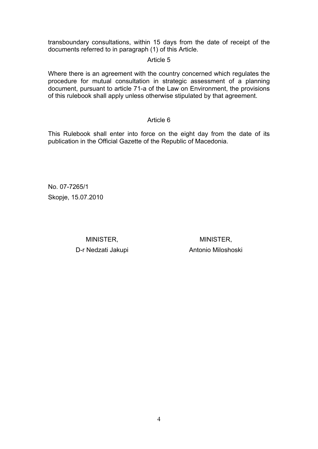transboundary consultations, within 15 days from the date of receipt of the documents referred to in paragraph (1) of this Article.

# Article 5

Where there is an agreement with the country concerned which regulates the procedure for mutual consultation in strategic assessment of a planning document, pursuant to article 71-a of the Law on Environment, the provisions of this rulebook shall apply unless otherwise stipulated by that agreement.

## Article 6

This Rulebook shall enter into force on the eight day from the date of its publication in the Official Gazette of the Republic of Macedonia.

No. 07-7265/1 Skopje, 15.07.2010

> MINISTER, MINISTER, D-r Nedzati Jakupi **Antonio Miloshoski**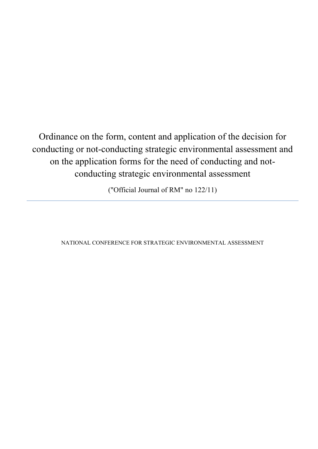Ordinance on the form, content and application of the decision for conducting or not-conducting strategic environmental assessment and on the application forms for the need of conducting and notconducting strategic environmental assessment

("Official Journal of RM" no 122/11)

NATIONAL CONFERENCE FOR STRATEGIC ENVIRONMENTAL ASSESSMENT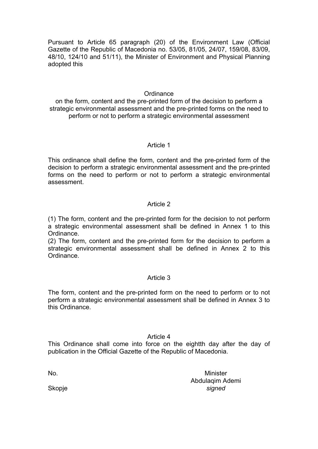Pursuant to Article 65 paragraph (20) of the Environment Law (Official Gazette of the Republic of Macedonia no. 53/05, 81/05, 24/07, 159/08, 83/09, 48/10, 124/10 and 51/11), the Minister of Environment and Physical Planning adopted this

## **Ordinance**

on the form, content and the pre-printed form of the decision to perform a strategic environmental assessment and the pre-printed forms on the need to perform or not to perform a strategic environmental assessment

## Article 1

This ordinance shall define the form, content and the pre-printed form of the decision to perform a strategic environmental assessment and the pre-printed forms on the need to perform or not to perform a strategic environmental assessment.

## Article 2

(1) The form, content and the pre-printed form for the decision to not perform a strategic environmental assessment shall be defined in Annex 1 to this Ordinance.

(2) The form, content and the pre-printed form for the decision to perform a strategic environmental assessment shall be defined in Annex 2 to this Ordinance.

# Article 3

The form, content and the pre-printed form on the need to perform or to not perform a strategic environmental assessment shall be defined in Annex 3 to this Ordinance.

## Article 4

This Ordinance shall come into force on the eightth day after the day of publication in the Official Gazette of the Republic of Macedonia.

No.

**Skopje** 

**Minister** Abdulaqim Ademi *signed*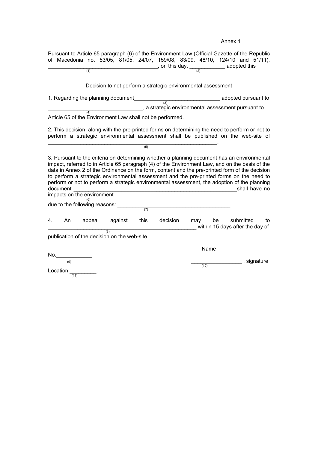Annex 1

Pursuant to Article 65 paragraph (6) of the Environment Law (Official Gazette of the Republic of Macedonia no. 53/05, 81/05, 24/07, 159/08, 83/09, 48/10, 124/10 and 51/11),  $\frac{1}{(1)}$  adopted this day,  $\frac{1}{(2)}$  adopted this Decision to not perform a strategic environmental assessment 1. Regarding the planning document\_\_\_\_\_\_\_\_\_\_\_\_\_\_\_\_\_\_\_\_\_\_\_\_\_\_\_\_\_ adopted pursuant to (3) \_\_\_\_\_\_\_\_\_\_\_\_\_\_\_\_\_\_\_\_\_\_\_\_\_\_\_\_\_\_\_\_, a strategic environmental assessment pursuant to (4) Article 65 of the Environment Law shall not be performed. 2. This decision, along with the pre-printed forms on determining the need to perform or not to perform a strategic environmental assessment shall be published on the web-site of \_\_\_\_\_\_\_\_\_\_\_\_\_\_\_\_\_\_\_\_\_\_\_\_\_\_\_\_\_\_\_\_\_\_\_\_\_\_\_\_\_\_\_\_\_\_\_\_\_\_\_\_\_\_\_\_\_. (5) 3. Pursuant to the criteria on determining whether a planning document has an environmental impact, referred to in Article 65 paragraph (4) of the Environment Law, and on the basis of the data in Annex 2 of the Ordinance on the form, content and the pre-printed form of the decision to perform a strategic environmental assessment and the pre-printed forms on the need to perform or not to perform a strategic environmental assessment, the adoption of the planning document \_\_\_\_\_\_\_\_\_\_\_\_\_\_\_\_\_\_\_\_\_\_\_\_\_\_\_\_\_\_\_\_\_\_\_\_\_\_\_\_\_\_\_\_\_\_\_\_\_\_\_\_\_\_\_shall have no impacts on the environment (6) due to the following reasons: \_\_\_\_\_\_\_\_\_\_\_\_\_\_\_\_\_\_\_\_\_\_\_\_\_\_\_\_\_\_\_\_\_\_\_\_\_\_. (7) 4. An appeal against this decision may be submitted to<br>
<u>and the submitted</u> to the submitted to the submitted to the submitted to the submitted to the submitted to the submitted to the submitted to the submitted to the sub \_\_\_\_\_\_\_\_\_\_\_\_\_\_\_\_\_\_\_\_\_\_\_\_\_\_\_\_\_\_\_\_\_\_\_\_\_\_\_\_\_\_\_\_\_\_\_\_\_\_ within 15 days after the day of (8) publication of the decision on the web-site. Name  $No.$ ending and signature  $(10)$ Location  $\frac{1}{(11)}$ .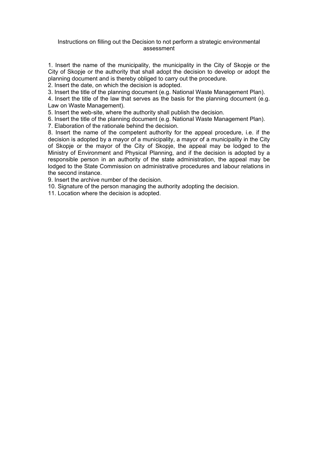#### Instructions on filling out the Decision to not perform a strategic environmental assessment

1. Insert the name of the municipality, the municipality in the City of Skopje or the City of Skopje or the authority that shall adopt the decision to develop or adopt the planning document and is thereby obliged to carry out the procedure.

2. Insert the date, on which the decision is adopted.

3. Insert the title of the planning document (e.g. National Waste Management Plan).

4. Insert the title of the law that serves as the basis for the planning document (e.g. Law on Waste Management).

5. Insert the web-site, where the authority shall publish the decision.

6. Insert the title of the planning document (e.g. National Waste Management Plan).

7. Elaboration of the rationale behind the decision.

8. Insert the name of the competent authority for the appeal procedure, i.e. if the decision is adopted by a mayor of a municipality, a mayor of a municipality in the City of Skopje or the mayor of the City of Skopje, the appeal may be lodged to the Ministry of Environment and Physical Planning, and if the decision is adopted by a responsible person in an authority of the state administration, the appeal may be lodged to the State Commission on administrative procedures and labour relations in the second instance.

9. Insert the archive number of the decision.

10. Signature of the person managing the authority adopting the decision.

11. Location where the decision is adopted.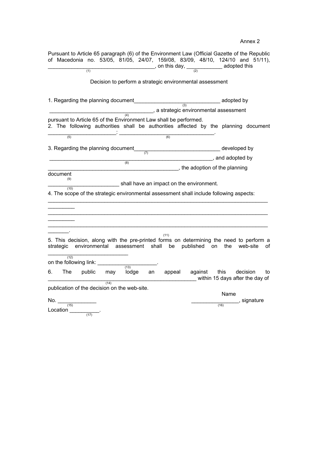Pursuant to Article 65 paragraph (6) of the Environment Law (Official Gazette of the Republic of Macedonia no. 53/05, 81/05, 24/07, 159/08, 83/09, 48/10, 124/10 and 51/11),  $\frac{1}{(1)}$  adopted this  $\frac{1}{(2)}$  adopted this Decision to perform a strategic environmental assessment 1. Regarding the planning document  $\overline{\phantom{a}}$  adopted by \_\_\_\_\_\_\_\_\_\_\_\_\_\_\_\_\_\_\_\_\_\_\_\_\_\_\_\_\_\_\_\_\_\_\_, a strategic environmental assessment  $(4)$ pursuant to Article 65 of the Environment Law shall be performed. 2. The following authorities shall be authorities affected by the planning document \_\_\_\_\_\_\_\_\_\_\_\_\_\_\_\_\_\_\_\_\_\_\_: \_\_\_\_\_\_\_\_\_\_\_\_\_\_\_\_\_\_\_\_\_\_\_\_\_\_\_\_\_\_\_\_. (5) (6) 3. Regarding the planning document\_ $\frac{7}{(7)}$  \_\_\_\_\_\_\_\_\_\_\_\_\_\_\_\_\_\_\_\_\_\_\_\_\_\_\_\_\_\_\_\_\_\_\_\_\_\_\_\_\_\_\_\_\_\_\_\_\_\_\_\_\_\_\_, and adopted by (8) \_\_\_\_\_\_\_\_\_\_\_\_\_\_\_\_\_\_\_\_\_\_\_\_\_\_\_\_\_\_\_\_\_\_\_\_\_\_\_\_\_\_\_\_, the adoption of the planning document (9)  $\equiv$  shall have an impact on the environment.  $(10)$ 4. The scope of the strategic environmental assessment shall include following aspects: \_\_\_\_\_\_\_\_\_\_\_\_\_\_\_\_\_\_\_\_\_\_\_\_\_\_\_\_\_\_\_\_\_\_\_\_\_\_\_\_\_\_\_\_\_\_\_\_\_\_\_\_\_\_\_\_\_\_\_\_\_\_\_\_\_\_\_\_\_\_\_\_\_\_  $\frac{1}{2}$ \_\_\_\_\_\_\_\_\_\_\_\_\_\_\_\_\_\_\_\_\_\_\_\_\_\_\_\_\_\_\_\_\_\_\_\_\_\_\_\_\_\_\_\_\_\_\_\_\_\_\_\_\_\_\_\_\_\_\_\_\_\_\_\_\_\_\_\_\_\_\_\_\_\_  $\overline{\phantom{a}}$  $\_$  , and the set of the set of the set of the set of the set of the set of the set of the set of the set of the set of the set of the set of the set of the set of the set of the set of the set of the set of the set of th \_\_\_\_\_\_\_. (11) 5. This decision, along with the pre-printed forms on determining the need to perform a strategic environmental assessment shall be published on the web-site of  $(12)$ on the following link:  $\overline{\text{may}}$   $\overline{\text{lodge}}$ 6. The public may lodge an appeal against this decision to within 15 days after the day of  $(14)$ publication of the decision on the web-site. name in the contract of the contract of the contract of the contract of the contract of the contract of the contract of the contract of the contract of the contract of the contract of the contract of the contract of the co No.  $\frac{(15)}{(15)}$  , signature <br>Location  $\frac{(17)}{(17)}$ .

Annex 2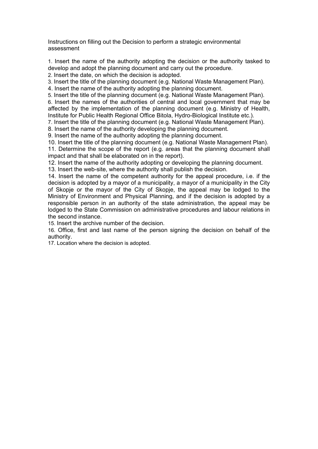Instructions on filling out the Decision to perform a strategic environmental assessment

1. Insert the name of the authority adopting the decision or the authority tasked to develop and adopt the planning document and carry out the procedure.

2. Insert the date, on which the decision is adopted.

3. Insert the title of the planning document (e.g. National Waste Management Plan).

4. Insert the name of the authority adopting the planning document.

5. Insert the title of the planning document (e.g. National Waste Management Plan).

6. Insert the names of the authorities of central and local government that may be affected by the implementation of the planning document (e.g. Ministry of Health, Institute for Public Health Regional Office Bitola, Hydro-Biological Institute etc.).

7. Insert the title of the planning document (e.g. National Waste Management Plan).

8. Insert the name of the authority developing the planning document.

9. Insert the name of the authority adopting the planning document.

10. Insert the title of the planning document (e.g. National Waste Management Plan). 11. Determine the scope of the report (e.g. areas that the planning document shall

impact and that shall be elaborated on in the report).

12. Insert the name of the authority adopting or developing the planning document.

13. Insert the web-site, where the authority shall publish the decision.

14. Insert the name of the competent authority for the appeal procedure, i.e. if the decision is adopted by a mayor of a municipality, a mayor of a municipality in the City of Skopje or the mayor of the City of Skopje, the appeal may be lodged to the Ministry of Environment and Physical Planning, and if the decision is adopted by a responsible person in an authority of the state administration, the appeal may be lodged to the State Commission on administrative procedures and labour relations in the second instance.

15. Insert the archive number of the decision.

16. Office, first and last name of the person signing the decision on behalf of the authority.

17. Location where the decision is adopted.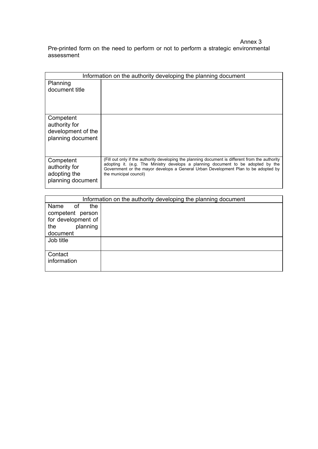Annex 3 Pre-printed form on the need to perform or not to perform a strategic environmental assessment

| Information on the authority developing the planning document         |                                                                                                                                                                                                                                                                                                       |
|-----------------------------------------------------------------------|-------------------------------------------------------------------------------------------------------------------------------------------------------------------------------------------------------------------------------------------------------------------------------------------------------|
| Planning<br>document title                                            |                                                                                                                                                                                                                                                                                                       |
| Competent<br>authority for<br>development of the<br>planning document |                                                                                                                                                                                                                                                                                                       |
| Competent<br>authority for<br>adopting the<br>planning document       | (Fill out only if the authority developing the planning document is different from the authority<br>adopting it. (e.g. The Ministry develops a planning document to be adopted by the<br>Government or the mayor develops a General Urban Development Plan to be adopted by<br>the municipal council) |

| Information on the authority developing the planning document |  |
|---------------------------------------------------------------|--|
| the<br>Name<br>οf                                             |  |
| competent person                                              |  |
| for development of                                            |  |
| planning<br>the                                               |  |
| document                                                      |  |
| Job title                                                     |  |
|                                                               |  |
| Contact                                                       |  |
| information                                                   |  |
|                                                               |  |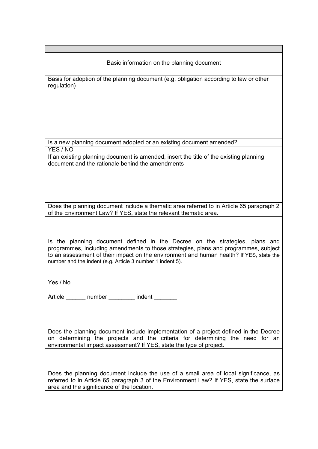## Basic information on the planning document

Basis for adoption of the planning document (e.g. obligation according to law or other regulation)

Is a new planning document adopted or an existing document amended? YES / NO

If an existing planning document is amended, insert the title of the existing planning document and the rationale behind the amendments

Does the planning document include a thematic area referred to in Article 65 paragraph 2 of the Environment Law? If YES, state the relevant thematic area.

Is the planning document defined in the Decree on the strategies, plans and programmes, including amendments to those strategies, plans and programmes, subject to an assessment of their impact on the environment and human health? If YES, state the number and the indent (e.g. Article 3 number 1 indent 5).

Yes / No

Article \_\_\_\_\_\_\_ number \_\_\_\_\_\_\_ indent

Does the planning document include implementation of a project defined in the Decree on determining the projects and the criteria for determining the need for an environmental impact assessment? If YES, state the type of project.

Does the planning document include the use of a small area of local significance, as referred to in Article 65 paragraph 3 of the Environment Law? If YES, state the surface area and the significance of the location.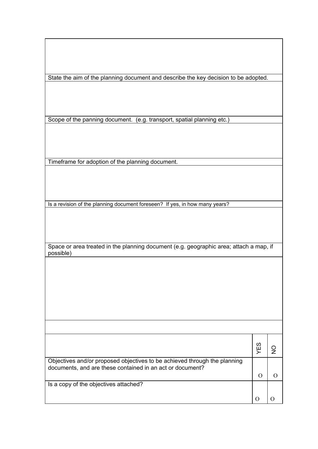State the aim of the planning document and describe the key decision to be adopted.

Scope of the panning document. (e.g. transport, spatial planning etc.)

Timeframe for adoption of the planning document.

Is a revision of the planning document foreseen? If yes, in how many years?

Space or area treated in the planning document (e.g. geographic area; attach a map, if possible)

|                                                                                                                                        | U,<br>Щ |  |
|----------------------------------------------------------------------------------------------------------------------------------------|---------|--|
| Objectives and/or proposed objectives to be achieved through the planning<br>documents, and are these contained in an act or document? |         |  |
|                                                                                                                                        |         |  |
| Is a copy of the objectives attached?                                                                                                  |         |  |
|                                                                                                                                        |         |  |
|                                                                                                                                        |         |  |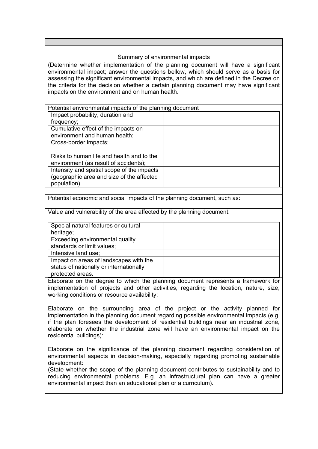## Summary of environmental impacts

(Determine whether implementation of the planning document will have a significant environmental impact; answer the questions bellow, which should serve as a basis for assessing the significant environmental impacts, and which are defined in the Decree on the criteria for the decision whether a certain planning document may have significant impacts on the environment and on human health.

| Potential environmental impacts of the planning document |  |
|----------------------------------------------------------|--|
| Impact probability, duration and                         |  |
| frequency;                                               |  |
| Cumulative effect of the impacts on                      |  |
| environment and human health;                            |  |
| Cross-border impacts;                                    |  |
|                                                          |  |
| Risks to human life and health and to the                |  |
| environment (as result of accidents);                    |  |
| Intensity and spatial scope of the impacts               |  |
| (geographic area and size of the affected                |  |
| population).                                             |  |

Potential economic and social impacts of the planning document, such as:

Value and vulnerability of the area affected by the planning document:

| Special natural features or cultural    |  |
|-----------------------------------------|--|
| heritage;                               |  |
| Exceeding environmental quality         |  |
| standards or limit values;              |  |
| Intensive land use;                     |  |
| Impact on areas of landscapes with the  |  |
| status of nationally or internationally |  |
| protected areas.                        |  |

Elaborate on the degree to which the planning document represents a framework for implementation of projects and other activities, regarding the location, nature, size, working conditions or resource availability:

Elaborate on the surrounding area of the project or the activity planned for implementation in the planning document regarding possible environmental impacts (e.g. if the plan foresees the development of residential buildings near an industrial zone, elaborate on whether the industrial zone will have an environmental impact on the residential buildings):

Elaborate on the significance of the planning document regarding consideration of environmental aspects in decision-making, especially regarding promoting sustainable development:

(State whether the scope of the planning document contributes to sustainability and to reducing environmental problems. E.g. an infrastructural plan can have a greater environmental impact than an educational plan or a curriculum).